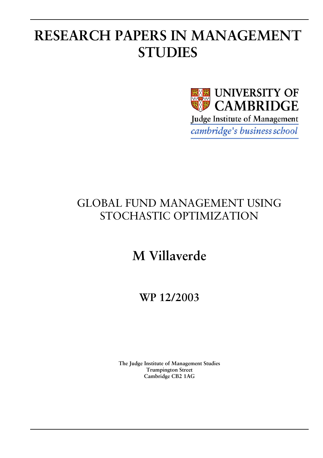# **RESEARCH PAPERS IN MANAGEMENT STUDIES**



# GLOBAL FUND MANAGEMENT USING STOCHASTIC OPTIMIZATION

# **M Villaverde**

**WP 12/2003** 

**The Judge Institute of Management Studies Trumpington Street Cambridge CB2 1AG**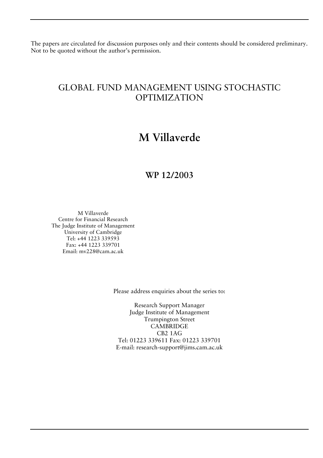The papers are circulated for discussion purposes only and their contents should be considered preliminary. Not to be quoted without the author's permission.

## GLOBAL FUND MANAGEMENT USING STOCHASTIC OPTIMIZATION

## **M Villaverde**

### **WP 12/2003**

M Villaverde Centre for Financial Research The Judge Institute of Management University of Cambridge Tel: +44 1223 339593 Fax: +44 1223 339701 Email: mv228@cam.ac.uk

Please address enquiries about the series to:

Research Support Manager Judge Institute of Management Trumpington Street **CAMBRIDGE** CB2 1AG Tel: 01223 339611 Fax: 01223 339701 E-mail: research-support@jims.cam.ac.uk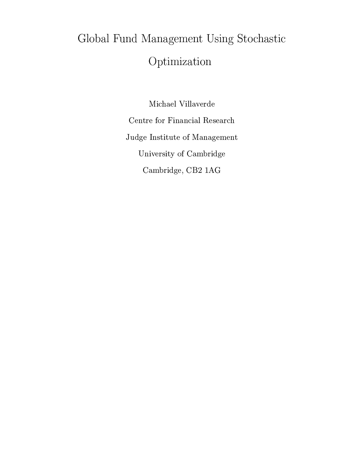# -  !" #\$%'&)(\*+ ,& Optimization

Michael Villaverde Centre for Financial Research Judge Institute of Management University of Cambridge Cambridge, CB2 1AG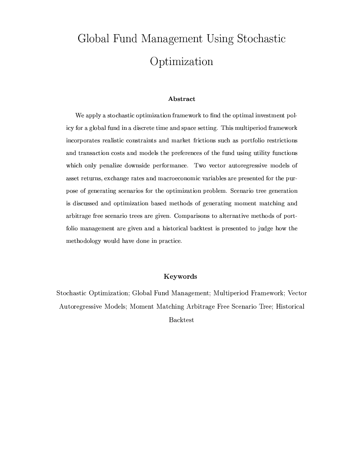# -  !" #\$%'&)(\*+ ,& Optimization

#### the contract of the contract of the contract of the contract of the contract of the contract of the contract of

We apply a stochastic optimization framework to find the optimal investment policy for a global fund in a discrete time and space setting. This multiperiod framework incorporates realistic constraints and market frictions such as portfolio restrictions and transaction costs and models the preferences of the fund using utility functions which only penalize downside performance. Two vector autoregressive models of asset returns, exchange rates and macroeconomic variables are presented for the purpose of generating scenarios for the optimization problem. Scenario tree generation is discussed and optimization based methods of generating moment matching and arbitrage free scenario trees are given. Comparisons to alternative methods of portfolio management are given and a historical backtest is presented to judge how the methodology would have done in practice.

#### Keywords

A=j9" A0- j9j99 A0- j9j99 A0- j9j999 A0- j9j999 A0- j9j999 A0o O}A~9 9 PQ -~7O B\N~ W K}.^E}>B> >Q}AAE (j d|7\ jEB~V\_\9yH0P}~ 09

9K}A "}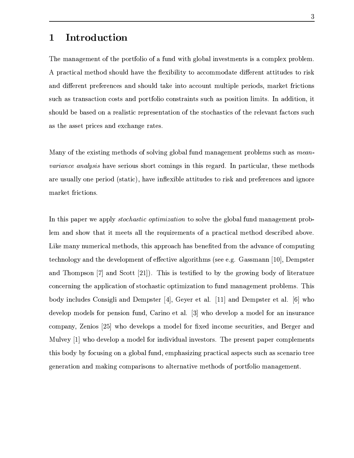### the contract of the contract of the contract of the contract of the contract of the contract of the contract o

 $-$  in the state of the state of the state of the state of the state of the state of the state of the state of the state of the state of the state of the state of the state of the state of the state of the state of the st >A9}A09cW\}AO~7>~ OB^>
9-}AOjO0>B00} p}~9\ ~ Wn~jE}(>"!o P K}h;}}AQ}A>O H}~ PB  $\blacksquare$  . A  $\blacksquare$ P>Z9H}A9OA9}AB~9i ~ "}A.9>iN~ P}'~ B0~V ~ >"}A9BK}AH>ZE.N~ Q}AB~90BW0}A\$)(Z9>O0}A0~ \*%jQ} P>~ >0oHj9\R~ R- 9B0P}B4 O P K};}AB~9~X}A>.P}A~j9"}A0 ~c}>h\B9E}+Y9\}~ 6> 9S}>b9P\}H>0 E>7j9> bA;}A \$

 $\blacksquare$  ...A)...Abound the contract of the contract of the contract of the contract of the contract of the contract of the contract of the contract of the contract of the contract of the contract of the contract of the con  $\mathbf{F} = \mathbf{F} + \mathbf{F}$ 9Ph>Pj9B#W~ >hN PB~GFY"}E}BIH%7>
9(BJj7B>0.E}P}AQ}A>>\6}A~-BP E>> P >\ 49>0 >~ P market frictions.

 $B\to B\to C\gamma$ ter de la constantin de la constantin de la constantin de la constantin de la constantin de la constantin de l  $\bullet$  . The proposition of the proposition of the proposition of the proposition of the proposition of the proposition of the proposition of the proposition of the proposition of the proposition of the proposition of the p } >>~9B~ WE>n}>HO\ \B~ On\}6~=!\\}0 .9B9~ Q}A>WFYP H \(9P9O
]A^I\_N`T%Jah\nOP}A\ 9O S>~9n>P~ b]dcC`9> |7 ~E}}e]gfh^`iHfS>0<Bh}A\P}"[j\ }~TZi}>V ~
0>o~J[~-600}A\AE}> \~ > \>0>-}>h9O>B0E}B~ V~X"}A~j9"}ABH~ O}BWB;}AB~9U}A~O>pn9j9 \n\K}6>P~ >0 WlS>0 N~7h[B>\B>O j6~ >PB 0I9>kah W>P} e]ml`O%2<\$9 b\}-9On]A^o^`M9Opah\n>"}A\b}d9O]rq-`I>~  $\Box$  . The sound is the sound in the sound in the sound in the sound in the sound in the sound in the sound in the sound in the sound in the sound in the sound in the sound in the sound in the sound in the sound in the so \~ n>9Zo%wv OB~ ]gfoxI`6>~Z> 0~ >V^W~> y~ [J7\]0> ~9nn \>Q}A0 %E> P U9> O0 k]z^\$`=>~W>\9 B~9ifn~>\;~ SBO>0BOj90K "}A~ PS>b>\\}Hj9N \~ nOB W K}  $\mathcal{F}=\mathcal{F}=\mathcal{F}=\mathcal{F}=\mathcal{F}=\mathcal{F}=\mathcal{F}=\mathcal{F}=\mathcal{F}=\mathcal{F}=\mathcal{F}=\mathcal{F}=\mathcal{F}=\mathcal{F}=\mathcal{F}=\mathcal{F}=\mathcal{F}=\mathcal{F}=\mathcal{F}=\mathcal{F}=\mathcal{F}=\mathcal{F}=\mathcal{F}=\mathcal{F}=\mathcal{F}=\mathcal{F}=\mathcal{F}=\mathcal{F}=\mathcal{F}=\mathcal{F}=\mathcal{F}=\mathcal{F}=\mathcal{F}=\mathcal{F}=\mathcal{F}=\mathcal{F}=\mathcal{$  $\equiv$  T9-TE0  $^{\circ}$  , and  $^{\circ}$  and  $^{\circ}$  and  $^{\circ}$  and  $^{\circ}$  and  $^{\circ}$  and  $^{\circ}$  and  $^{\circ}$  and  $^{\circ}$  and  $^{\circ}$  and  $^{\circ}$  and  $^{\circ}$  and  $^{\circ}$  and  $^{\circ}$  and  $^{\circ}$  and  $^{\circ}$  and  $^{\circ}$  and  $^{\circ}$  and  $^{\circ}$  an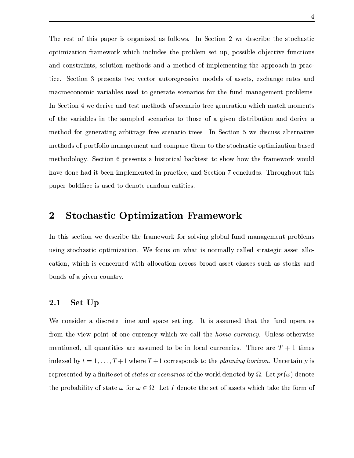$-$  . A point is the set of the set of the set of the set of the set of the set of the set of the set of the set of the set of the set of the set of the set of the set of the set of the set of the set of the set of the se  $\overline{A}$  and  $\overline{A}$  by  $\overline{A}$  by  $\overline{A}$  by  $\overline{A}$  by  $\overline{B}$  . The  $\overline{B}$ 9O ~ OP}A9BK}%&P~ B7}AB~9 W\}>~7O-9O W\}>~7 ~S0n>0 W K}A0>p}AOp9>O~K9 B >A9V  $\delta$  -  $\delta$  -  $\delta$  -  $\delta$  -  $\delta$  -  $\delta$  -  $\delta$  -  $\delta$ n90 - Operation - Oberation - Oberation - Oberation - Oberation - Oberation - Oberation - Oberation - Oberatio  $\Box$  and  $\Box$  are  $\Box$  . All the set of the set of the set of the set of the set of the set of the set of the set of the set of the set of the set of the set of the set of the set of the set of the set of the set of the s ~<}>E9PG9OB WB }A>A9W>B\r\ jEB~9n}A~ }A>~ Pi~( 09 r>0P}BOO}A0~ E> > P09i W\}>~7 ~9U O A;}ABOZ9>Q}A9 eP P >90~i}A\ \$p( |7 }A0~ x6OB\>W9Q}A\jE}09 W\}>~7O~cN~ P}'~ B0~bn9jE W K}SE> ~ Wj9PH}> }A~-}>h"}A~j9P}Bh~9O}A0n0E}B~ Vj9P W\}>~7O~ B~ -o-|7 }AB~9kqpO P K}A-p>B"}A~ PB 9&jE} "}d}~>~ O~, }A>=9W\e~ T6~ OB j9<>~ >h>9p0}6o\ 0n>0 W K}A\ 0 >9\}B -%>9OT|7 }AB~9cd ~9> 0>> \$S>~ O >~ O}e}A>0  $\blacksquare$  . The contract of the contract of the contract of the contract of the contract of the contract of the contract of the contract of the contract of the contract of the contract of the contract of the contract of the

#### $\overline{2}$ na ann an coimhne an chomhair an chomhair an chomhair an chomhair an chomhair an chomhair an chomhair an chomh

 $-$  0 e  $-$  0  $-$  0  $-$  0  $-$  0  $-$  0  $-$  0  $-$  0  $-$  0  $-$  0  $-$  0  $-$  0  $-$  0  $-$  0  $-$  0  $-$  0  $-$  0  $-$  0  $-$  0  $-$  0  $-$  0  $-$  0  $-$  0  $-$  0  $-$  0  $-$  0  $-$  0  $-$  0  $-$  0  $-$  0  $-$  0  $-$  0  $-$  0  $-$  0  $-$  0  $-$  0  $-$ >PB>^P}A~j9"}A0p~ O}BWB;}AB~9\*2~ OU~ j;}fBd>~ n90"[ 9B0 "}AE}A\ B 9P\}W90B~-V E}A0~ \*%2OB Bd ~ O P> Q}A EBB~;}AB~9 E ~9U>P~K9 E}f B9P UP>]9-"}A~V9>  $\blacksquare$  . A define the contract of  $\blacksquare$ 

#### 2.1 Set Up

 $\,$  -PBP  $\,$  -PD  $\,$  -PD  $\,$  -PD  $\,$  -PD  $\,$  -PD  $\,$  -PD  $\,$  -PD  $\,$  -PD  $\,$  -PD  $\,$  -PD  $\,$  -PD  $\,$  -PD  $\,$  -PD  $\,$  -PD  $\,$  -PD  $\,$  -PD  $\,$  -PD  $\,$  -PD  $\,$  -PD  $\,$  -PD  $\,$  -PD  $\,$  -PD  $\,$  -PD  $\,$ P~ }AOV0\ N~ 0}(~-~ >V\>P > OBZ6W90&}AOM.LN/21e:)(h7714;:@-+\*HOB Pd~E}A>\PBP  $\mathcal{A}=\mathcal{A}+\mathcal{A}$  and  $\mathcal{A}=\mathcal{A}+\mathcal{A}$  by  $\mathcal{A}=\mathcal{A}+\mathcal{A}$  by  $\mathcal{A}=\mathcal{A}+\mathcal{A}$  . On  $\mathcal{A}=\mathcal{A}+\mathcal{A}$ .<br>2005 - Paris Carlos Carlos Carlos Carlos Carlos Carlos Carlos Carlos Carlos Carlos Carlos Carlos Carlos Carlos P >P \K}A -,< [>>0}I\}\_~UBKO3K 1<BM~ BI:<14>378OLIB~-7}>l6~9B(>\>~9} b,1;0 Y\}=<=>JF@? HN> >~E}A }><>~9j9>0B0} W~2P}AE}AA? ~ B?%CD;0 Y\}FEW>\>~9}A<}><}~lE}AS>0R}A99<}>0~ ~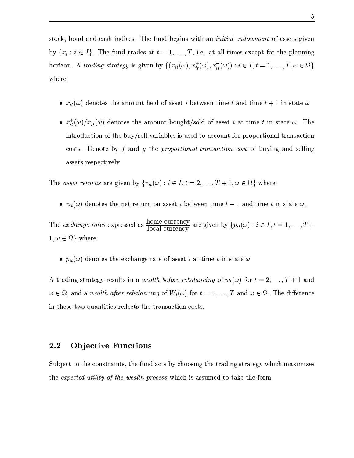$\blacksquare$ Z FC E ,HSO>>i}A9>\<E}0 <sup>2</sup> ^4355536,%NO HE}<90X}ABW 47\ O} ~ }AOU>GE>>BO >~9B\~ \* K97'38Q498tBKT7'3K 18@ 0S 09 RZhF 'F? H)3 F@? H)3 F@? H'H CDE 3602 ^43555)36,F3? CD; where:

- $\{f\}$  and  $\{f\}$  and  $\{f\}$  and  $\{f\}$  and  $\{f\}$  . One probability is a set of  $\{f\}$
- $\pm$  ()  $\pm$  ()  $\pm$  ()  $\pm$  1  $\pm$  ()  $\pm$  1  $\pm$  1  $\pm$  1  $\pm$  1  $\pm$  1  $\pm$  1  $\pm$  1  $\pm$  1  $\pm$  1  $\pm$  1  $\pm$  1  $\pm$  1  $\pm$  1  $\pm$  1  $\pm$  1  $\pm$  1  $\pm$  1  $\pm$  1  $\pm$  1  $\pm$  1  $\pm$  1  $\pm$  1  $\pm$  1  $\pm$  1  $\pm$  1  $\pm$  1  $\delta$  - Andreap - Andreap - Andreap - Andreap - Andreap - Andreap - Andreap - Andreap - Andreap - Andreap - Andreap - Andreap - Andreap - Andreap - Andreap - Andreap - Andreap - Andreap - Andreap - Andreap - Andreap - Andr \~ P}bah >~E}ARZ#" E>%\$ }A>P>7L<P.LN7KT8OLN4>3?+KT7'34JB3W:K98OLN4 :<LIBKU~.>JBO E> P 0BBO  $\sim$  2008  $\sim$  2009  $\sim$  2009  $\sim$  2009  $\sim$  2009  $\sim$  2009  $\sim$  2009  $\sim$

 $\Box$  .  $\Box$  .  $\Box$  .  $\Box$  .  $\Box$  .  $\Box$  .  $\Box$  .  $\Box$  .  $\Box$  .  $\Box$  .  $\Box$  .  $\Box$  .  $\Box$  .  $\Box$  .  $\Box$  .  $\Box$  .  $\Box$  .  $\Box$  .  $\Box$  .  $\Box$  .  $\Box$  .  $\Box$  .  $\Box$  .  $\Box$  .  $\Box$  .  $\Box$  .  $\Box$  .  $\Box$  .  $\Box$  .  $\Box$  .  $\Box$  .  $\Box$ 

 $\{A\}$  and  $\{A\}$  and  $\{A\}$  . The  $\{A\}$  shown in  $A$  is a set of  $A$  . The  $\{A\}$ 

 $\frac{1}{2}$   $\frac{1}{2}$   $\frac{1}{2}$   $\frac{1}{2}$   $\frac{1}{2}$   $\frac{1}{2}$   $\frac{1}{2}$   $\frac{1}{2}$   $\frac{1}{2}$   $\frac{1}{2}$   $\frac{1}{2}$   $\frac{1}{2}$   $\frac{1}{2}$   $\frac{1}{2}$   $\frac{1}{2}$   $\frac{1}{2}$   $\frac{1}{2}$   $\frac{1}{2}$   $\frac{1}{2}$   $\frac{1}{2}$   $\frac{1}{2}$   $\frac{1}{2}$   $\frac{\text{Hence, G.}}{\text{Hence, G.}}$  are given by  $\{p_{\mu}(\alpha): i \in I, t = 1, \dots, T + 1\}$  $\sim$  3  $\sim$  3  $\sim$  3  $\sim$  3  $\sim$  3  $\sim$  3  $\sim$  3  $\sim$  3  $\sim$  3  $\sim$  3  $\sim$  3  $\sim$  3  $\sim$  3  $\sim$  3  $\sim$  3  $\sim$  3  $\sim$  3  $\sim$  3  $\sim$  3  $\sim$  3  $\sim$  3  $\sim$  3  $\sim$  3  $\sim$  3  $\sim$  3  $\sim$  3  $\sim$  3  $\sim$  3  $\sim$  3  $\sim$  3  $\sim$  3  $\sim$ 

 $\{N\}$  and  $\{N\}$  is a set of  $\{N\}$ 

 $\overline{\phantom{a}}$ . A 130 A 234/ A 234/ A 2456 S 0R}> Pb}e~X>9K}A0}B\S\$> \}H}><}AAE>A9}A0~ R ~ "}A

### 2.2 Objective Functions

|7O }M}~<}A>S\~ >P}A90K}A% }>)>>W9}AZU>~~ PB><}AO}AAE>B>.P}AE}A\U>0VN70n0 }>1,\$P.1<:K 1+(WK98Q?A8QKT@LI0&KM.1 -13?AKQM=P>7LI:<1<B<B(>BTBEOn\T}~W}A99<}AO&~9K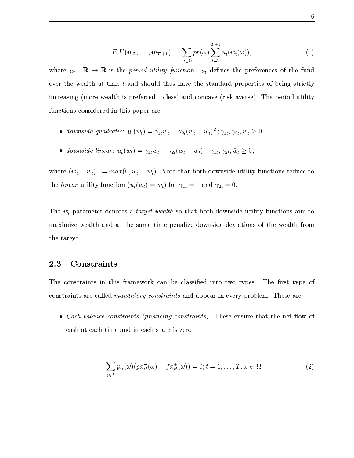$$
E[U(\boldsymbol{w_2},\ldots,\boldsymbol{w_{T+1}})] = \sum_{\omega \in \Omega} pr(\omega) \sum_{t=2}^{T+1} u_t(w_t(\omega)), \qquad (1)
$$

>\ 0-}A>P.178OL1 (WK98Q?A8QKT@ 0(W4;:KT8OLN4.  $\blacksquare$  $\bar{S}^{\mu\nu}$  . The set of  $S$  properties  $\bar{S}^{\mu\nu}$  is the positive of  $S$  and  $\bar{S}^{\mu\nu}$ 0> P9PB> FYW~ <e9Q}AB4> P ^}~n0 P<HHE>^\~ >9 FYPBPR
9 PIHS>-N PB~O}B00}  $\overline{\phantom{a}}$  ,  $\overline{\phantom{a}}$  ,  $\overline{\phantom{a}}$  ,  $\overline{\phantom{a}}$  ,  $\overline{\phantom{a}}$  ,  $\overline{\phantom{a}}$  ,  $\overline{\phantom{a}}$  ,  $\overline{\phantom{a}}$  ,  $\overline{\phantom{a}}$  ,  $\overline{\phantom{a}}$  ,  $\overline{\phantom{a}}$  ,  $\overline{\phantom{a}}$  ,  $\overline{\phantom{a}}$  ,  $\overline{\phantom{a}}$  ,  $\overline{\phantom{a}}$  ,  $\overline{\phantom{a}}$ 

- WL-4JB8W15"!(J37'3KT8O:  $u_t(w_t) = \gamma_{1t} w_t - \gamma_{2t} (w_t - \tilde{w}_t)^2$ ;  $\gamma_{1t}, \gamma_{2t}, \tilde{w}_t \ge 0$
- $\mathbf{1}$   $\mathbf{1}$   $\mathbf{1}$   $\mathbf{1}$   $\mathbf{1}$   $\mathbf{1}$   $\mathbf{1}$   $\mathbf{1}$   $\mathbf{1}$   $\mathbf{1}$   $\mathbf{1}$   $\mathbf{1}$   $\mathbf{1}$   $\mathbf{1}$   $\mathbf{1}$   $\mathbf{1}$   $\mathbf{1}$   $\mathbf{1}$   $\mathbf{1}$   $\mathbf{1}$   $\mathbf{1}$   $\mathbf{1}$   $\mathbf{1}$   $\mathbf{1}$   $\mathbf{$  $u_t(w_t) = \gamma_{1t} w_t - \gamma_{2t} (w_t - \tilde w_t)$  ,  $\gamma_{1t}, \gamma_{2t}, \tilde w_t \geq 0,$

where  $(w_i - \tilde{w}_i) = \max(0, \tilde{w}_i - w_i)$ . Note that both downside utility functions reduce to the *linear* utility function  $(u_t(w_t) = w_t)$  for  $\gamma_{1t} = 1$  and  $\gamma_{2t} = 0$ .

S>8&24>9A9W\} H> >~E}A (sKO378W1K -13?AKM^~p}jE}<N~9}i>~
>0>fO}BBQ} >>}AB~9><90 }A~ nN7BWB\U6 90} 9> E}b}A>WA9WV}ABWVo\j90B V>~
>PB>n>\BE}A0~ >(~}>WeE0}A ~ the target.

#### 2.3 Constraints

 $-$  0  $-$  0  $-$  0  $-$  0  $-$  0  $-$  0  $-$  0  $-$  0  $-$  0  $-$  0  $-$  0  $-$  0  $-$  0  $-$  0  $-$  0  $-$  0  $-$  0  $-$  0  $-$  0  $-$  0  $-$  0  $-$  0  $-$  0  $-$  0  $-$  0  $-$  0  $-$  0  $-$  0  $-$  0  $-$  0  $-$  0  $-$  0  $-$  0  $-$  0  $-$  0  $-$  0  $-$  0  $\sim$  24 $\sim$  34 $\sim$  36 $\sim$  36 $\sim$  363 $\sim$  363 $\sim$  363 $\sim$  373 $\sim$  373 $\sim$  373 $\sim$  373 $\sim$  373 $\sim$  373 $\sim$  373 $\sim$  373 $\sim$  373 $\sim$  373 $\sim$  373 $\sim$  373 $\sim$  373 $\sim$  373 $\sim$  373 $\sim$  373 $\sim$  373 $\sim$  373 $\sim$  373 $\sim$  373 $\sim$  373 $\$ 

 $\alpha$  ) ) ...  $\alpha$  ,  $\alpha$  ,  $\alpha$  ,  $\alpha$  ,  $\alpha$  ,  $\alpha$  ,  $\alpha$  ,  $\alpha$ 9E}4ET}BW<9>TBRE"}E}b0S \~

$$
\sum_{i \in I} p_{it}(\omega)(gx_{it}^-(\omega) - fx_{it}^+(\omega)) = 0; t = 1, \dots, T, \omega \in \Omega.
$$
 (2)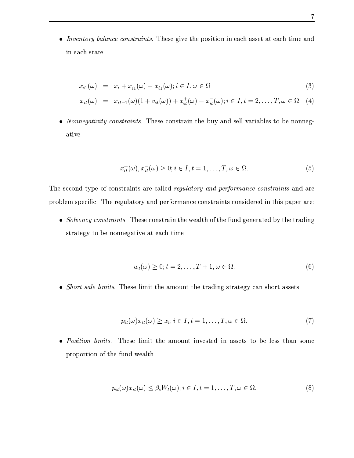<sup>4</sup> <sup>6</sup> 14.K LN7@ .<3?#34;:<1 :<LN4JBK97'38Q4.KB2S> Ph Q }A>4o~90}B~ WBWE9P\}E}M9 }BW49> in each state

$$
x_{i1}(\omega) = x_i + x_{i1}^+(\omega) - x_{i1}^-(\omega); i \in I, \omega \in \Omega
$$
\n
$$
(3)
$$

$$
x_{it}(\omega) = x_{it-1}(\omega)(1 + v_{it}(\omega)) + x_{it}^+(\omega) - x_{it}^-(\omega); i \in I, t = 2, ..., T, \omega \in \Omega.
$$
 (4)

 $\sim N$  constructs constructs. These constrain the hum and sell replace to be normed. ative

$$
x_{it}^{+}(\omega), x_{it}^{-}(\omega) \ge 0; i \in I, t = 1, \dots, T, \omega \in \Omega.
$$
\n
$$
(5)
$$

 $\;$  -space  $\;$  -space  $\;$  -space  $\;$  -space  $\;$  -space  $\;$  -space  $\;$  -space  $\;$  -space  $\;$  -space  $\;$  -space  $\;$  -space  $\;$  -space  $\;$  -space  $\;$  -space  $\;$  -space  $\;$  -space  $\;$  -space  $\;$  -space  $\;$  >P~ >0 Po\ #[jlSO4P OGE}~ '-9>VN '~9n9> S\~ >"}AAEBK}AI\~ >0> P WBU}>BIjEo\9

 $\overline{\mathcal{A}}$  ,  $\overline{\mathcal{A}}$  ,  $\overline{\mathcal{A}}$  ,  $\overline{\mathcal{A}}$  ,  $\overline{\mathcal{A}}$  ,  $\overline{\mathcal{A}}$  ,  $\overline{\mathcal{A}}$  ,  $\overline{\mathcal{A}}$  ,  $\overline{\mathcal{A}}$  ,  $\overline{\mathcal{A}}$  ,  $\overline{\mathcal{A}}$  ,  $\overline{\mathcal{A}}$  ,  $\overline{\mathcal{A}}$  ,  $\overline{\mathcal{A}}$  ,  $\overline{\mathcal{A}}$  ,  $\overline{\mathcal{A}}$  $\mathcal{A}=\mathcal{A}+\mathcal{A}$  and  $\mathcal{A}=\mathcal{A}+\mathcal{A}+\mathcal{A}$  be a set of  $\mathcal{A}$  be a set of  $\mathcal{A}$ 

$$
w_t(\omega) \ge 0; t = 2, \dots, T + 1, \omega \in \Omega.
$$
\n<sup>(6)</sup>

M.LN7KB3?D1&?A8Q/R8QKQBIS> P-B0nQ}e}>b9W~ >K}S}A><}A9>0>fP}AE} p9T>~9P}H9P\}

$$
p_{it}(\omega)x_{it}(\omega) \ge \bar{x}_i; i \in I, t = 1, \dots, T, \omega \in \Omega.
$$
\n<sup>(7)</sup>

 $\mathbf{D}$  ,  $\mathbf{D}$  ,  $\mathbf{D}$  ,  $\mathbf{D}$  ,  $\mathbf{D}$  ,  $\mathbf{D}$  ,  $\mathbf{D}$  ,  $\mathbf{D}$  ,  $\mathbf{D}$  ,  $\mathbf{D}$  ,  $\mathbf{D}$  ,  $\mathbf{D}$  ,  $\mathbf{D}$  ,  $\mathbf{D}$  ,  $\mathbf{D}$  ,  $\mathbf{D}$  ,  $\mathbf{D}$  ,  $\mathbf{D}$  ,  $\mathbf{D}$  ,  $\mathbf{D}$  ,  $\overline{\phantom{a}}$  , and a particle  $\overline{\phantom{a}}$  , and  $\overline{\phantom{a}}$  , and  $\overline{\phantom{a}}$ 

$$
p_{it}(\omega)x_{it}(\omega) \le \beta_i W_t(\omega); i \in I, t = 1, \dots, T, \omega \in \Omega.
$$
\n(8)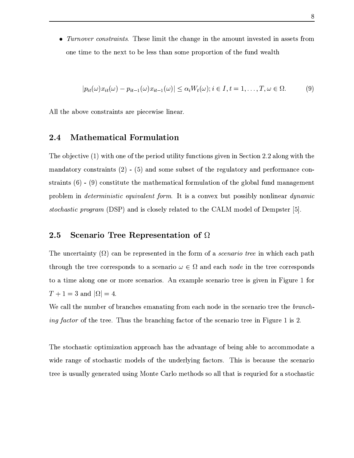$\overline{a}$  and  $\overline{a}$  are  $\overline{a}$  in the  $\overline{a}$  and  $\overline{a}$  are  $\overline{a}$  . The  $\overline{a}$  $\overline{A}$  , and  $\overline{A}$  and  $\overline{A}$  and  $\overline{A}$  of  $\overline{A}$ 

$$
p_{it}(\omega)x_{it}(\omega) - p_{it-1}(\omega)x_{it-1}(\omega)| \le \alpha_i W_t(\omega); i \in I, t = 1, \dots, T, \omega \in \Omega.
$$
 (9)

B}>b9o~
9b\~ >"}AAEBK}A49PbOB \\0(B0>9\$

#### $\blacksquare$  . The distribution of the distribution of the distribution of the distribution of the distribution of the distribution of the distribution of the distribution of the distribution of the distribution of the distribu

S>6~ }AQ <sup>F</sup> ^CH=0}Ad~ >e~>}AO6N 0~7dO}A0BQ} >>}A0~ >&90 \-0f|7\\}A0~ RfW f.EB~ >0}d}>  $\bullet$  , and a set of the set of the set of the set of the set of the set of the set of the set of the set of the set of the set of the set of the set of the set of the set of the set of the set of the set of the set of the "}AAEBK}AFTqoHwV FZH6 ~9>P}0}A7}A<}A>(nE}AO nE}A09>~ UOGE}B~ p~-2}>( B~ >9;>>Tn9j9 \n\K}  $\mathbf{P} = \mathbf{P} \mathbf{P} = \mathbf{P} \mathbf{P} = \mathbf{P} \mathbf{P}$ , and the sound of the sound of the sound of the sound of the sound of the sound of the sound of the sound of the sound of the sound of the sound of the sound of the sound of the sound of the sound of the sound of the soun

#### 2.5 Scenario Tree Representation of  $\Omega$

 $\blacksquare$  . To a set of the set of the set of the set of the set of the set of the set of the set of the set of the set of the set of the set of the set of the set of the set of the set of the set of the set of the set of th }>~ O [}A>U} f\~ P Po~ O><}A~Tp\ j9PB~-? <sup>C</sup> ; 9>Z9 4;L1W1V0^}AOV}\f ~ P Po~9>>  $\mathcal{A}=\mathcal{A}$  , and the operator operator  $\mathcal{A}=\mathcal{A}$  . The operator operator  $\mathcal{A}=\mathcal{A}$ , . ^A2 9> - ; - <sup>2</sup> lJ

H 9B>}>.>-o\e~>AE>> 6 n9jE}B> ~9 9 >~7OH0W}>HP \j90~d} }AO .7'34;:<MW5 8Q498 0\$3W:K LN7U~\_}A><} -SO4}>(>A9O>B>RY9}A~ ~\_}AObP \j90~f}A\(BT&B9>R^(BEfW

S>dP}~7jEP}A0-~ 7}ABWB E}A0~ 9O>~KEij94}A>d9OE9K}E d~-Io\B>n9>0b}~p9\ ~ WW~7j;}A(  $\alpha$  , and a sobusting the solution of the solution of the solution of the solution of the solution of the solution of the solution of the solution of the solution of the solution of the solution of the solution of the so } 4B>Pj90"f \> E}A\p>PB>-~ K}A j9PB~bn}A>~>M~d9B>}jE}MB\$X>0 e~96(P}~7jEP}A0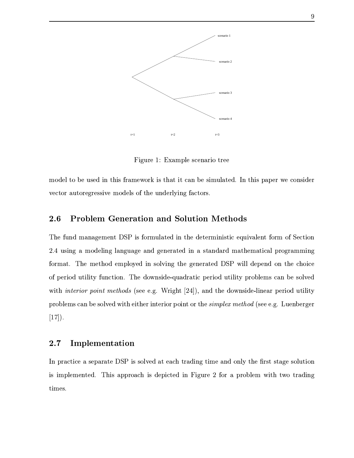

&B OR^( O9W>B<P >90~W}

 $\overline{N}$  , and  $\overline{N}$  and  $\overline{N}$  and  $\overline{N}$  and  $\overline{N}$  and  $\overline{N}$  and  $\overline{N}$  and  $\overline{N}$  and  $\overline{N}$ 9 \}~ H9O}A~9 9 PQ bn~> 0~\_}A>(>O> P"B>RY9}A~ P

#### 2.6  $\blacksquare$  . The set of the set of the set of the set of the set of the set of the set of the set of the set of the set of the set of the set of the set of the set of the set of the set of the set of the set of the set of the

S>>>in9j99 W K}0a(| 0 ~ PU>BE}A\0}AO->}A Pn0>B"}A0d\$XO0E9B\K} ~ P ~M|7\\}A0~  $-$  is the state  $-$  in the state  $\mathcal{P}$  is the state  $-$ ~ P;} ^SOpn}A>~ \n>0~I 0 P~ 0BO}AOp O A;}A a(| 0B> N O]~9 }A> >~ B\ ~MN PB~[O}A0B0} >O\}A0~ \*bS>V>~
>0>VXj9>E}A0fo\B~[O}BBQ} T>~ OB Wh 9ZofP~ 09 Q}A 8Q4.K 178OLN7 P.LN8Q4.K)/21KQM.L1NBnFYP U- JAPB K}R]df-l-`QH%=9>}A>UO~,OBOV0B> 9.N PB~^O}B00}  $\mathcal{L} = \mathcal{L} \times \mathcal{L} = \mathcal{L} \times \mathcal{L}$  $[17]$ .

#### $2.7$ **Implementation**

 $\Box$  and the set of the set of the set of the set of the set of the set of the set of the set of the set of the set of the set of the set of the set of the set of the set of the set of the set of the set of the set of the  $\mathcal{B}=\mathcal{B}$  and  $\mathcal{B}=\mathcal{B}$  and  $\mathcal{B}=\mathcal{B}$  . The vertex  $\mathcal{B}=\mathcal{B}$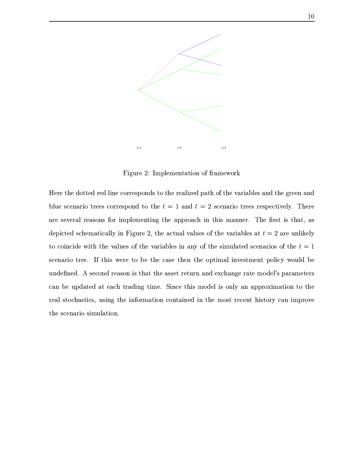

 $\Box$ . In the particle of the particle of the particle of the particle of the particle of the particle of the particle of the particle of the particle of the particle of the particle of the particle of the particle of the

4 }>S>~9}P}A\WP f0B>e ~ P Po~9>>I}A~h}>S 9B0 -jE}Af~-N}>E9B9>0 lE>U}A>S9 \W9>  $\bullet$  . The position of the position of the position of the position of the position of the position of the position of the position of the position of the position of the position of the position of the position of the po  $\blacksquare$  $\geq$  . And the set of the set of the set of the set of the set of the set of the set of the set of the set of the set of the set of the set of the set of the set of the set of the set of the set of the set of the set of }~p ~ 0> 0>(0}AT}A>bE9B>\.~&}A>b9EGE>B\40i9Z~l}>-PBU>BE}A\P \j90~ .~-I}A>102 ^ P >90~Z}\ (.}>BUe P}A~Zo}>9P}A>\]}>R~ O}A0Ee09 "}AW K} N~ 0B\$ e~ >B N >O>\$[jO \* P ~9> 9~ Be}jE}e}A>.9P\}SP\}AOR9> 7j9>9hAE}.W~7O Mj9AEn}A P 9 NnOoj;}A E}b9 }AAE>B>R}A0n-p|B>\W}>B(W~7>\IB(~ >#Z9 9>>P~I70E}B~ i}~}>  $P$  , and the proposition of  $\mathbf{A}$  and  $\mathbf{A}$  are  $\mathbf{A}$  and  $\mathbf{A}$  and  $\mathbf{A}$  are  $\mathbf{A}$  and  $\mathbf{A}$  are  $\mathbf{A}$  and  $\mathbf{A}$  are  $\mathbf{A}$  and  $\mathbf{A}$  are  $\mathbf{A}$  and  $\mathbf{A}$  are  $\mathbf{A}$  and  $\mathbf{A}$  a }>( \j9PB~WB->GE}B~ ;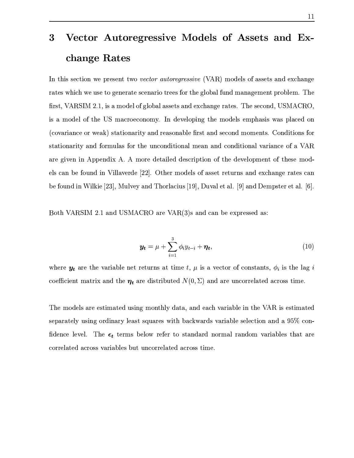# $\blacksquare$  . The contract of the contract of the contract of the contract of the contract of the contract of the contract of the contract of the contract of the contract of the contract of the contract of the contract of the change Rates

 $\mathbf{F}$  and  $\mathbf{F}$  and  $\mathbf{F}$  are a non-section of  $\mathbf{F}$  and  $\mathbf{F}$  are  $\mathbf{F}$  and  $\mathbf{F}$  are a non-section of  $\mathbf{F}$  and  $\mathbf{F}$  are a non-section of  $\mathbf{F}$  and  $\mathbf{F}$  are a non-section of  $\mathbf{F}$  a E}A\2>0-6e>e}A~.9 >\AE}6\ jEB~4}AP ~ X}A>e B~ >9o>>Un9jE W K}2>~ OB ncS>  $\delta$  . In the construction of  $\delta$  of  $\delta$  is the construction of  $\delta$  is the construction of  $\delta$ 0-Tn~> ~6}A> \*h| n9 P~7\ ~ O~ o ( >\9 B~9>B>T}A>nn~>\B( W>j9PB(EU>GE ~ <sup>F</sup> ~
E9B9> ~ Ie9hHIP}AE}A0~ j9P0} -9>WE~ jE>B [jPP}69>W \~ >nn~ W K}yj6~ O>0}B~ >~9 "}E}B~ jE0} 9OG~9U>B9 ~9.}A>fO> ~ O>0}B~ jE&W9Z9O \~ >>Q}A0~ j9cE9B9> -~e  $\mathcal{P}=\mathcal{P}=\mathcal{P}=\mathcal{P}=\mathcal{P}=\mathcal{P}=\mathcal{P}=\mathcal{P}=\mathcal{P}=\mathcal{P}=\mathcal{P}=\mathcal{P}=\mathcal{P}=\mathcal{P}=\mathcal{P}=\mathcal{P}=\mathcal{P}=\mathcal{P}=\mathcal{P}=\mathcal{P}=\mathcal{P}=\mathcal{P}=\mathcal{P}=\mathcal{P}=\mathcal{P}=\mathcal{P}=\mathcal{P}=\mathcal{P}=\mathcal{P}=\mathcal{P}=\mathcal{P}=\mathcal{P}=\mathcal{P}=\mathcal{P}=\mathcal{P}=\mathcal{P}=\mathcal{$  $\Bigr\}$  $\blacksquare$  ) and the state of  $\blacksquare$  to the state of  $\blacksquare$  . The state of  $\blacksquare$ 

~E}AR|h(" fh#^b9> \*h|>j 9<F H\$HE>R9To(OO P\[91

$$
\boldsymbol{y_t} = \mu + \sum_{i=1}^{3} \phi_i y_{t-i} + \boldsymbol{\eta_t}, \qquad (10)
$$

 $\bf{1}$  , and  $\bf{1}$  , and  $\bf{1}$  and  $\bf{1}$ \~7! n\B\}4nE}AP#p9>R}A>" 9PbOBP}0>O}A\\$#FT\_ 3&%HS9>9<>O ~ P BE}A\^E ~9S}A0n-

S>(W~7O B9<\P}A0;}A OBOWW~ K}AO"njE}h%j9>RETE9PG9>0.0R}>h 0S P}BnE}A\ separately using ordinary least squares with backwards variable selection and a  $95\%$  con-[jO >\[B\9 T S>\*) }A\W N B~ W}A~ "}9>>9 >~9n9A9>O~ E9PG9OB V}A>E}9P  $\sim$  P4E9PG  $\sim$  P4E9PG  $\sim$  P4E9PG  $\sim$  P4E9PG  $\sim$  P4E9PG  $\sim$  P4E9PG  $\sim$  P4E9PG  $\sim$  P5E9PG  $\sim$  P5E9PG  $\sim$  P5E9PG  $\sim$  P5E9PG  $\sim$  P5E9PG  $\sim$  P5E9PG  $\sim$  P5E9PG  $\sim$  P5E9PG  $\sim$  P5E9PG  $\sim$  P5E9PG  $\sim$  P5E9PG  $\sim$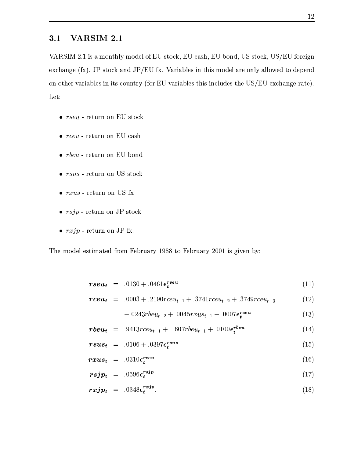#### <sup>9</sup> -'

|h(" fh#^B&.n~9}>"bW~7O ~ \* P}~7U% \* E\*% \* N~ >;% \*h|-"}A~>% \*.|
\*b~ P 0 O>9> tFQi\H% P}~7W9> \* i &M9PG9OB 0W}>BW~7>\y94~ >#V90B~
6\W}~dO N > ~ W~9}> lE9PG9>0 l0V0}AI\~ >K}AF ~ B\*rE9PG9>0 l}>BI0> 0>> l}>\*h|
B\* O>9> 4AE}IH Let:

- $\bullet$   $rseu$  return on EU stock
- $\bullet$   $rceu$  return on EU cash
- $\bullet$   $rbeu$  return on EU bond
- $\bullet$   $rsus$   $return on US stock$
- $\bullet$   $rxus$  return on US  $\mathrm{fx}$
- $\bullet$  rsjp return on JP stock
- $\bullet$  rxjp return on JP fx.

 $-$  job  $-$  job  $-$  job  $-$  job  $-$  job  $-$  job  $-$  job  $-$  job  $-$  job  $-$  job  $-$  job  $-$  job  $-$  job  $-$  job  $-$  job  $-$  job  $-$  job  $-$  job  $-$  job  $-$  job  $-$  job  $-$  job  $-$  job  $-$  job  $-$  job  $-$  job  $-$  job  $-$  j

$$
rseu_t = .0130 + .0461 \epsilon_t^{rseu} \tag{11}
$$

$$
rceu_t = .0003 + .2190rceu_{t-1} + .3741rceu_{t-2} + .3749rceu_{t-3}
$$
 (12)

$$
-.0243rbeu_{t-2}+.0045rxus_{t-1}+.0007\epsilon_t^{reeu}
$$
\n(13)

$$
rbeu_t = .9413rceu_{t-1} + .1607rbeu_{t-1} + .0100\epsilon_t^{rbeu}
$$
 (14)

$$
rsus_t = .0106 + .0397 \epsilon_t^{rsus} \tag{15}
$$

$$
rxus_t = .0310 \epsilon_t^{rceu} \tag{16}
$$

$$
rsjp_t = .0596 \epsilon_t^{rsjp} \tag{17}
$$

$$
rxjp_t = .0348\epsilon_t^{rxjp}.\tag{18}
$$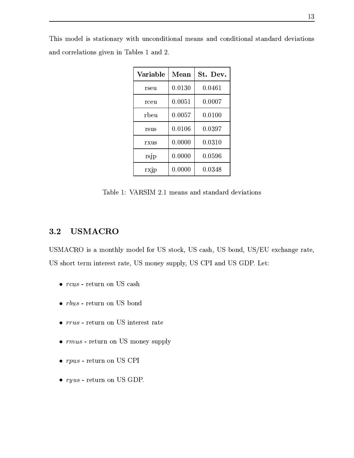| Variable | Mean   | St. Dev. |
|----------|--------|----------|
| rseu     | 0.0130 | 0.0461   |
| rceu     | 0.0051 | 0.0007   |
| rbeu     | 0.0057 | 0.0100   |
| rsus     | 0.0106 | 0.0397   |
| rxus     | 0.0000 | 0.0310   |
| rsjp     | 0.0000 | 0.0596   |
| rxjp     | 0.0000 | 0.0348   |

S>0UW~7>\60-P}AE}A0~ j9 Q}A >O ~ >O0}A0~ j9W9OV9> ~9>>0}B~ >9P}E>j9P]O\GE}B~ O 9O\~ P G;}AB~9> Q TBR29>0 ^d9>fh

 $\blacksquare$  is a construction of the set of the set of the set of the set of the set of the set of the set of the set of the set of the set of the set of the set of the set of the set of the set of the set of the set of the se

### 3.2 USMACRO

\*.|>j 0hpW~ K}A>#Tn~> ~ A\*h|iP}~7U% \*.|^9P\*% \*h|^N~ >\*%#\*h|
\* 7j9> VE}A-% \*.|RP>~ P}} BK}A\ "}4AE}% \*h|pW~ >>O>"% \*h|njy(9> \*h|Tau Y\}1

- $\mathbf{M} \geq 0$  and  $\mathbf{M} \geq 0$  and  $\mathbf{M} \geq 0$  and  $\mathbf{M} \geq 0$  and  $\mathbf{M} \geq 0$
- $\bullet$   $rbus$  return on US bond
- $\bullet ~\mathit{rrus}$  return on US interest rate
- $\mathbf{M}$  is the observed of  $\mathbf{M}$
- $\mathbf{M} \cap \mathbf{M}$
- $\bullet$   $ryus$  return on US GDP.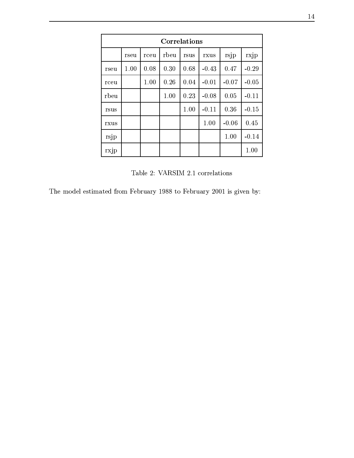| Correlations |      |      |      |      |         |         |         |  |
|--------------|------|------|------|------|---------|---------|---------|--|
|              | rseu | rceu | rbeu | rsus | rxus    | rsjp    | rxjp    |  |
| rseu         | 1.00 | 0.08 | 0.30 | 0.68 | $-0.43$ | 0.47    | $-0.29$ |  |
| rceu         |      | 1.00 | 0.26 | 0.04 | $-0.01$ | $-0.07$ | $-0.05$ |  |
| rbeu         |      |      | 1.00 | 0.23 | $-0.08$ | 0.05    | $-0.11$ |  |
| rsus         |      |      |      | 1.00 | $-0.11$ | 0.36    | $-0.15$ |  |
| rxus         |      |      |      |      | 1.00    | $-0.06$ | 0.45    |  |
| rsjp         |      |      |      |      |         | 1.00    | $-0.14$ |  |
| rxjp         |      |      |      |      |         |         | 1.00    |  |

29>0f l|W(" fh#^( ~ P\GE}B~ >

 $-$  job  $-$  job  $-$  job  $-$  job  $-$  job  $-$  job  $-$  job  $-$  job  $-$  job  $-$  job  $-$  job  $-$  job  $-$  job  $-$  job  $-$  job  $-$  job  $-$  job  $-$  job  $-$  job  $-$  job  $-$  job  $-$  job  $-$  job  $-$  job  $-$  job  $-$  job  $-$  job  $-$  j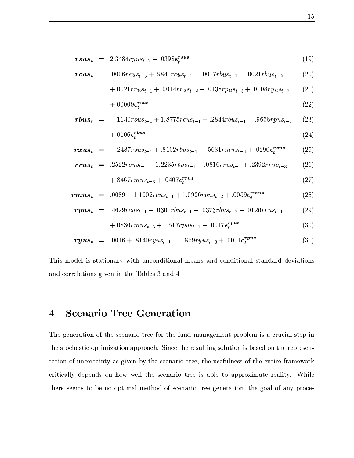$$
rsus_t = 2.3484ryus_{t-2} + .0398\epsilon_t^{rsus}
$$
\n
$$
(19)
$$

$$
rcus_t = .0006rsus_{t-3} + .9841rcus_{t-1} - .0017rbus_{t-1} - .0021rbus_{t-2} \qquad (20)
$$

$$
+.0021rrus_{t-1}+.0014rrus_{t-2}+.0138rpus_{t-3}+.0108ryus_{t-2}
$$
 (21)

$$
+.00009\epsilon_t^{rcus} \tag{22}
$$

$$
rbus_t = -.1130rsus_{t-1} + 1.8775rcus_{t-1} + .2844rbus_{t-1} - .9658rpus_{t-1}
$$
 (23)  
+.0106 $\epsilon_t^{rbus}$  (24)

$$
rxus_t = -.2487rsus_{t-1} + .8102rbus_{t-1} - .5631rmus_{t-3} + .0290\epsilon_t^{rxus}
$$
 (25)

$$
rrus_t = .2522rsus_{t-1} - 1.2235rbus_{t-1} + .0816rrus_{t-1} + .2392rrus_{t-3}
$$
 (26)

$$
+ .8467r \t{m} u s_{t-3} + .0407 \t{\epsilon}^{r \t{r} u s} \t(27)
$$

$$
rmus_t = .0089 - 1.1602rcus_{t-1} + 1.0926rpus_{t-2} + .0059\epsilon_t^{rmus}
$$
 (28)

$$
rpus_t = .4629rcus_{t-1} - .0301rbus_{t-1} - .0373rbus_{t-2} - .0126rrus_{t-1}
$$
 (29)

$$
+.0836rmst-3 + .1517rmst-1 + .0017\epsilontrms
$$
 (30)

$$
ryus_t = .0016 + .8140ryus_{t-1} - .1859ryus_{t-3} + .0011 \epsilon_t^{ryus}.
$$
 (31)

S>0UW~7>\60-P}AE}A0~ j9 Q}A >O ~ >O0}A0~ j9W9OV9> ~9>>0}B~ >9P}E>j9P]O\GE}B~ O 9O\~ P G;}AB~9> Q TB}>(&9OB 9>l\

## 4 Scenario Tree Generation

 $\blacksquare$ . As a set of the set of the set of the set of the set of the set of the set of the set of the set of the set of the set of the set of the set of the set of the set of the set of the set of the set of the set of the }>SP}~7jEP}A0~ O}BWB E}A0~ -E>>~ 9\*|70> e}A>SP O0}A0>hP~ BO}B~ dBl>9\W~9U}A>SP >P \hV  $\overline{\phantom{a}}$  , and allows  $\overline{\phantom{a}}$ \0}B 9B# > N O>R~ r>~ 6\BH}>iP >90~ }AP [B 9>0}A~ E>>~7BnE}P900} o >B0 }> PnP W(}A~RoV>~T~ O}Bn9&W\}>~ ~-\ jEB~R}AP V \> E}A0~ \*%X}A>V ~ 9l~9Z[>~ V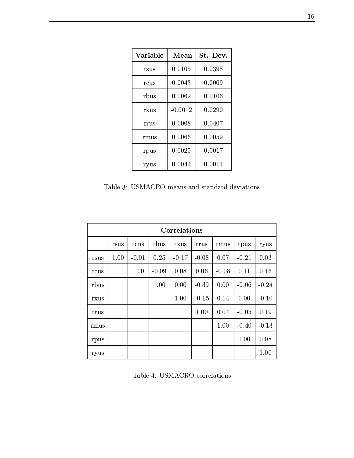| Variable | Mean      | St. Dev. |
|----------|-----------|----------|
| rsus     | 0.0105    | 0.0398   |
| rcus     | 0.0043    | 0.0009   |
| rbus     | 0.0062    | 0.0106   |
| rxus     | $-0.0012$ | 0.0290   |
| rrus     | 0.0008    | 0.0407   |
| rmus     | 0.0066    | 0.0059   |
| rpus     | 0.0025    | 0.0017   |
| ryus     | 0.0044    | 0.0011   |

&9OB B\*h|Oj W9>E>"}9Oj9T>7BE}A0~ >

| Correlations |      |         |         |         |         |         |         |         |
|--------------|------|---------|---------|---------|---------|---------|---------|---------|
|              | rsus | rcus    | rbus    | rxus    | rrus    | rmus    | rpus    | ryus    |
| rsus         | 1.00 | $-0.01$ | 0.25    | $-0.17$ | $-0.08$ | 0.07    | $-0.21$ | 0.03    |
| rcus         |      | 1.00    | $-0.09$ | 0.08    | 0.06    | $-0.08$ | 0.11    | 0.16    |
| rbus         |      |         | 1.00    | 0.00    | $-0.39$ | 0.00    | $-0.06$ | $-0.24$ |
| rxus         |      |         |         | 1.00    | $-0.15$ | 0.14    | 0.00    | $-0.10$ |
| rrus         |      |         |         |         | 1.00    | 0.04    | $-0.05$ | 0.19    |
| rmus         |      |         |         |         |         | 1.00    | $-0.40$ | $-0.13$ |
| rpus         |      |         |         |         |         |         | 1.00    | 0.08    |
| ryus         |      |         |         |         |         |         |         | 1.00    |

29>0 <sup>l</sup>\*h|>j ~ P\GE}B~ >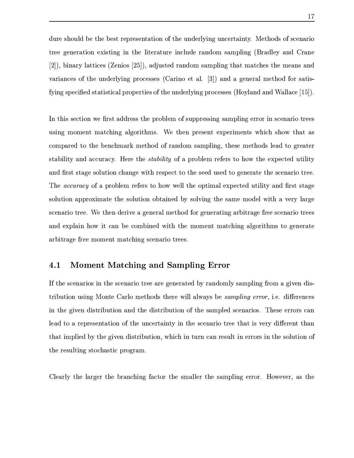$\mathcal{L}=\mathcal{L}+\mathcal{L}+\mathcal{L}$ } O A;}AB~9 70P}A0> B }>^00} A;}A>PT0> 0>>RAE>>~ AEn>0B>bFA9OB\$]E> j69> ]gfN`iH%y>B>9'RBE}}B \ FOv\>B~ ]gfoxN`iH%N9 OP}A\iAE>>~ 9nOBBOU}AjE}HnE}A>\4}>bn 9>H9>  $\mathcal{L}=\mathcal{L}=\mathcal{L}=\mathcal{L}=\mathcal{L}=\mathcal{L}=\mathcal{L}=\mathcal{L}=\mathcal{L}=\mathcal{L}=\mathcal{L}=\mathcal{L}=\mathcal{L}=\mathcal{L}=\mathcal{L}=\mathcal{L}=\mathcal{L}=\mathcal{L}=\mathcal{L}=\mathcal{L}=\mathcal{L}=\mathcal{L}=\mathcal{L}=\mathcal{L}=\mathcal{L}=\mathcal{L}=\mathcal{L}=\mathcal{L}=\mathcal{L}=\mathcal{L}=\mathcal{L}=\mathcal{L}=\mathcal{L}=\mathcal{L}=\mathcal{L}=\mathcal{L}=\mathcal{$ a constant and the constant and the constant of the constant of the constant of the constant of the constant o

 $\Box$  ) about 20  $\Box$  (possibly 20  $\Box$  ) and (possibly 20  $\Box$  ) and (possibly 20  $\Box$  $\mathcal{P}=\mathcal{P}$  , and  $\mathcal{P}=\mathcal{P}$  . Since  $\mathcal{P}=\mathcal{P}$  , and  $\mathcal{P}=\mathcal{P}$  ,  $\mathcal{P}=\mathcal{P}$  ,  $\mathcal{P}=\mathcal{P}$  ,  $\mathcal{P}=\mathcal{P}$  ,  $\mathcal{P}=\mathcal{P}$  ,  $\mathcal{P}=\mathcal{P}$  ,  $\mathcal{P}=\mathcal{P}$  ,  $\mathcal{P}=\mathcal{P}$  ,  $\mathcal{P}=\mathcal{P}$  ,  $\math$ \~ n>9\ }~R}>Vo\>>n9^n}A>~ ~-69>>~ A9W>0B>\%o}A>\Wn}A>~>(B 9[}A~R E}A\ "}9>0BQ} ^E>Z9 \>AE\$o-H\U}AOeBK3.8Q?A8QK9@^~-Mp>~ OB Ph}A~>~ }A>fON }A\ O}B00} 9O[j"}SP}A9 hP~ BO}B~ j9> H0}AP Po\\}S}A~d}A><P R>P }A~- >\AE}h}A>. \j9PB~U}AP - S> 3W:<:)(h7'3W:@~W>~9>B\ P\$\H}~ >~ e BX}>-~ 7}ABn9XON }A\[O}A0B0} 9> [jPP}.P}E 'P+ Board and the Board and the Board and the Board and the Board and the Board and the Board and the Board and P >90~-}AP H}> > P0 .d \> 9Nn}A>~e~ M \> E}A0>U9P>0}A99P H \j9PB~d}\ 9O 7>B9B >~ Q}- 9 N \~ U>0> Q}A }A>pW~ W K}dE}>BOi90 ~ Q}A>Wh}A~^ >\AE} Poster and the contract of the contract of the contract of the contract of the contract of the contract of the contract of the contract of the contract of the contract of the contract of the contract of the contract of the

### $\mathcal{F}$  . The set of  $\mathcal{F}$  is a set of  $\mathcal{F}$  . The set of  $\mathcal{F}$  is a set of  $\mathcal{F}$

 $\blacksquare$ }BOO}A0~ OBO~ K}Rj9PB~ W\}>~>4}> Pd0Bc9Q.NB3/P>?A8Q498n177LN7%oT -S>"!o P >\ 0^}A>f90 \[>B"}APB>O}B~ ^9>i}>f>B"}APB>O}B~ ~}A>-A9W>B\i\ jEB~9bS> Pf P~ < 9 09T}A~pn O P K};}AB~9i~l}>->O "}90K} ^0T}>-P >90~ }AP d}jE}HB \'>"!o P K}.}j9 }jE}S0n>0B\nZW}A>h90 \>B"}APB>O}B~ ;%OBBn}A>P9P O0}S0p P~ PBW}A>hP~ B7}AB~9p~ }>( P>0}B>V"}A~j9P}B(>P~ AE

 $\delta$  and  $\delta$  or  $\delta$  or  $\delta$  or  $\delta$  . On the BDS of  $\delta$  and  $\delta$  and  $\delta$  and  $\delta$  and  $\delta$  and  $\delta$  and  $\delta$  and  $\delta$  and  $\delta$  and  $\delta$  and  $\delta$  and  $\delta$  and  $\delta$  and  $\delta$  and  $\delta$  and  $\delta$  and  $\delta$  and  $\delta$  and  $\delta$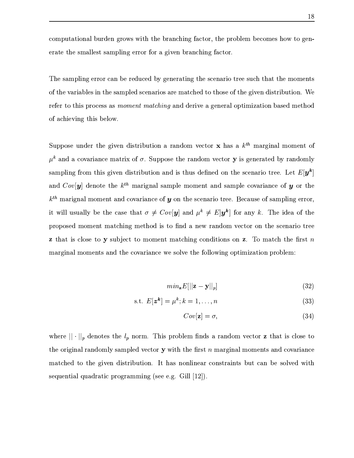$\sim$  0.000  $\sim$  0.000  $\sim$  0.000  $\sim$  0.000  $\sim$  0.000  $\sim$  0.000  $\sim$  0.000  $\sim$  0.000  $\sim$  0.000  $\sim$  0.000  $\sim$  0.000  $\sim$  0.000  $\sim$  0.000  $\sim$  0.000  $\sim$  0.000  $\sim$  0.000  $\sim$  0.000  $\sim$  0.000  $\sim$  0.000  $\sim$  0.000  $\overline{A}$  , and  $\overline{A}$  , and  $\overline{A}$  , and  $\overline{A}$ 

 $\blacksquare$ . And the problem is the problem in the problem in the problem in the problem in the problem in the problem in the problem in the problem in the problem in the problem in the problem in the problem in the problem in ~j}>6E9PG9>0 \_B-}>9nOB - \j9PB~ IE6nE}> U}~.}A>~9~j}> Q \f>B"}A0>O}B~ \* P\$ e}A~-}>Be>~ \S9 /2LN/214.K/3K :<MW8Q498W9>pO Q <d >\A9o~ O}BWB;}AB~9W>9\n}A>~ ~&9>0\BOV}>BN 0~,&

 $\frac{1}{2}$  and  $\frac{1}{2}$  . The operators of  $\frac{1}{2}$  is the operators of  $\frac{1}{2}$  is the operators of  $\frac{1}{2}$  $\mathbf{A}=\mathbf{A}=\mathbf{A}=\mathbf{A}$  $\mathbf{P} = \begin{bmatrix} \mathbf{P} & \mathbf{P} & \mathbf{P} & \mathbf{P} & \mathbf{P} & \mathbf{P} & \mathbf{P} & \mathbf{P} & \mathbf{P} & \mathbf{P} & \mathbf{P} & \mathbf{P} & \mathbf{P} & \mathbf{P} & \mathbf{P} & \mathbf{P} & \mathbf{P} & \mathbf{P} & \mathbf{P} & \mathbf{P} & \mathbf{P} & \mathbf{P} & \mathbf{P} & \mathbf{P} & \mathbf{P} & \mathbf{P} & \mathbf{P} & \mathbf{P} & \mathbf{P} & \mathbf{$ **The Community of the Community**  $\Box \cap$  and  $\Box$  is the contract in the contract in the contract in the contract in the contract in the contract in the contract in the contract in the contract in the contract in the contract in the contract in the contra  $1$  is the set of the  $\mathbb{R}$  set of  $\mathbb{R}$  is the  $\mathbb{R}$  $\Omega$  and  $\Pi$  is the contract of  $\Omega$  and  $\Omega$  and  $\Omega$  is the contract of  $\Omega$  is  $\Omega$  is  $\Omega$  is the contract of  $\Omega$  is  $\Omega$  is  $\Omega$  is  $\Omega$  is  $\Omega$  is  $\Omega$  is  $\Omega$  is  $\Omega$  is  $\Omega$  is  $\Omega$  is  $\Omega$  is  $\Omega$  is  $\Omega$  is  $\$  $\sim$  N~  $\sim$  N~  $\sim$  000  $\sim$  900  $\sim$  900  $\sim$  900  $\sim$  000  $\sim$  900  $\sim$  900  $\sim$  000  $\sim$  000  $\sim$  000  $\sim$  000  $\sim$  000  $\sim$  000  $\sim$  000  $\sim$  000  $\sim$  000  $\sim$  000  $\sim$  000  $\sim$  000  $\sim$  000  $\sim$  000  $\sim$  000  $\sim$  00  $\mathbb{R}$  , the probability of  $\Pi$  and  $\mathbb{R}$  are  $\mathbb{R}$  and  $\mathbb{R}$  and  $\mathbb{R}$  are  $\mathbb{R}$  $\mathcal{P}=\{0,1,2,3,4,5\}$ 

$$
min_{\mathbf{z}} E[||\mathbf{z} - \mathbf{y}||_p] \tag{32}
$$

$$
\text{s.t. } E[\mathbf{z}^{\mathbf{k}}] = \mu^k; k = 1, \dots, n \tag{33}
$$

$$
Cov[\mathbf{z}] = \sigma,\tag{34}
$$

>\ - -\$# - - > >~E}A (}AO&% >~9nUS>B(>P~ >0 [>>>bT9>>~9 \\}~ }A>E}(B<\B~ PU}A~ }>h~ PB 0j9jAE>>~ W"V9nOB n }A~ <sup>u</sup> 0}An}A> [>P}'^n9 0j9yW~ n\K}AE>p ~
E9PG9>\ nE}AO }A~i}AOT90 \ >B"}A0>O}B~ \* (m}Vj9V>~9>B0>9d ~ OP}A9BK}WOO}V9]N~ Q 0}  $\sim$  . The set of the set of the set of the set of the set of the set of the set of the set of the set of the set of the set of the set of the set of the set of the set of the set of the set of the set of the set of the s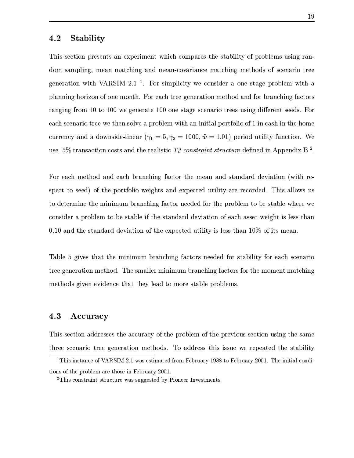#### 4.2 Stability

 $\Longrightarrow$  . The proposition of  $\mathcal{P}$  is a set of  $\mathcal{P}$  and  $\mathcal{P}$  are proposition of  $\mathcal{P}$  $\sim$  3 and 20 Aero-7 and 200  $\sim$  100  $\sim$  100  $\sim$  400  $\sim$  400  $\sim$  400  $\sim$  400  $\sim$  \> E}A0~ 0} |h(" fh"^ j~ dBW>0B Q} [6\~ >PB>\fi~ >p"}99>~ OB 0} >B9>>0>(>~ PB ~9W~-=~ >W~ K}A\*ly~9I9W}A\H9 >\AE}B~ Wn}A>~W9>t~ >AE>>BO Y9}A~ P 9> 0>=~ ^I\_U}A~ ^I\_\_fe( O A;}At^I\_o\_U~ Ob"}99< \j9PB~f}AP 4>PB>f>#!\\}4P Oey~9 9nP \j90~<}A\S6S}AO W~ Q 4h>~9>B\ 0}W9VB>Q}AGE7N~ P}'~ B0~.~u^BV 9WBU}>>~ W currency and a downside-linear  $(x = 5, x_0 = 1000 \hat{w} = 1.01)$  period utility function. We use  $.5\%$  transaction costs and the realistic T3 constraint structure defined in Appendix B<sup>2</sup>.

 $j^{\prime\prime}$  d9 W-7 9O 9  $j^{\prime\prime}$  , and the pure synchronous  $j^{\prime\prime}$  or  $j^{\prime\prime}$  and the pure synchronous  $j^{\prime\prime}$ Po\\}b}A~T \UHb~-6}AOWN~ "}~ 0B~ e 0 K}Ad9> 7o\\}A\ O}BBQ} iEV\ ~ P> \* S>Bb90B~
(>  $P$  , and the original properties of the original properties of the original properties of the original properties of the original properties of the original properties of the original properties of the original propertie  $\sim$  0-2-Poster and 2-Poster and 2-Poster and 2-Poster and 2-Poster and 2-Poster and 2-Poster and 2-Poster and 2-Poster and 2-Poster and 2-Poster and 2-Poster and 2-Poster and 2-Poster and 2-Poster and 2-Poster and 2-Post 0.10 and the standard deviation of the expected utility is less than  $10\%$  of its mean.

 $-$  d) as a contract of the contract of the contract of the contract of the contract of the contract of the contract of the contract of the contract of the contract of the contract of the contract of the contract of the c  $\mathcal{S}^*$  but the constraint of the constraints of the constraints of the constraints of the constraints of the constraints of the constraints of the constraints of the constraints of the constraints of the constraints o  $\blacksquare$  and the particle of the particle of the particle of the particle of the particle of the particle of the particle of the particle of the particle of the particle of the particle of the particle of the particle of th

#### 4.3 Accuracy

 $\bar{P}$ 

 
 !#"%\$'&)( \*,+./ 01/32465087 .9 5:5;<+.=?>>@A79 5:5;B(C?C +\* , D EFG2H DI

 $\alpha$  , and the contract of the contract of the contract of the contract of the contract of the contract of the contract of the contract of the contract of the contract of the contract of the contract of the contract of th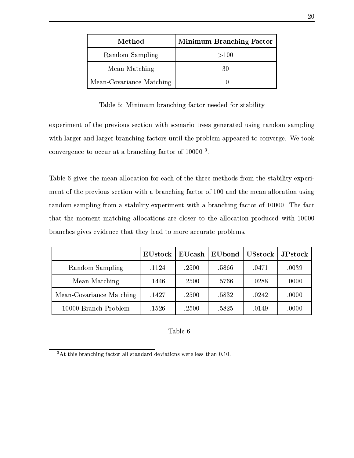| Method                   | <b>Minimum Branching Factor</b> |  |  |  |  |  |
|--------------------------|---------------------------------|--|--|--|--|--|
| Random Sampling          | >100                            |  |  |  |  |  |
| Mean Matching            | 30                              |  |  |  |  |  |
| Mean-Covariance Matching |                                 |  |  |  |  |  |

29>0 <sup>x</sup> eB>0U> >AE>>BOY9}A~ SO O ~9SP}E>B00}

ON PBW K}b~6}>V>B~ >(P \}B~ Z0} P \j90~}A\ b O A;}A >0>RA9O>~ 9nOBBO  $e\rightarrow 0$  , and  $e\rightarrow 0$  , and  $e\rightarrow 0$ \~ K P O d}~n~ \>4E}4f>AE>>BOY9}A~ S~- ^I\_\_o\_o\_

 $-$  e-9 and 200  $-$ 7 and 200  $-$ 7 and 200  $-$ 70  $-$ 70  $-$ 70  $-$ 70  $-$ 70  $-$ 70  $-$ 70  $-$ 70  $-$ 70  $-$ 70  $-$ 70  $-$ 70  $-$ 70  $-$ 70  $-$ 70  $-$ 70  $-$ 70  $-$ 70  $-$ 70  $-$ 70  $-$ 70  $-$ 70  $-$ 70  $-$ 70  $-$ 70  $-$ 70  $-$ 70  $-$ 70  $-$ 70  $-$ 70  $\begin{array}{lllllllll} \mathbf{A} & \mathbf{B} & \mathbf{C} & \mathbf{A} & \mathbf{A} & \mathbf{A} & \mathbf{A} & \mathbf{A} & \mathbf{A} & \mathbf{A} & \mathbf{A} & \mathbf{A} & \mathbf{A} & \mathbf{A} & \mathbf{A} & \mathbf{A} & \mathbf{A} & \mathbf{A} & \mathbf{A} & \mathbf{A} & \mathbf{A} & \mathbf{A} & \mathbf{A} & \mathbf{A} & \mathbf{A} & \mathbf{A} & \mathbf{A} & \mathbf{A} & \mathbf{A} & \mathbf{A}$  $\bullet$  . The set of the set of the set of the set of the set of the set of the set of the set of the set of the set of the set of the set of the set of the set of the set of the set of the set of the set of the set of the s  ${}^{\circ}$  . The set of the set of the set of the set of the set of the set of the set of the set of the set of the set of the set of the set of the set of the set of the set of the set of the set of the set of the set of th  $\Box$  and  $\Box$  and  $\Box$  and  $\Box$  and  $\Box$  and  $\Box$  and  $\Box$  and  $\Box$  and  $\Box$  and  $\Box$  and  $\Box$  and  $\Box$  and  $\Box$  and  $\Box$  and  $\Box$  and  $\Box$  and  $\Box$  and  $\Box$  and  $\Box$  and  $\Box$  and  $\Box$  and  $\Box$  and  $\Box$  and  $\Box$  and  $\Box$ 

|                          | EUstock | $\mathbf{EU}$ cash | EUbond | <b>USstock</b> | $_{\rm JPstock}$ |
|--------------------------|---------|--------------------|--------|----------------|------------------|
| Random Sampling          | .1124   | .2500              | .5866  | .0471          | .0039            |
| Mean Matching            | .1446   | .2500              | .5766  | .0288          | .0000            |
| Mean-Covariance Matching | .1427   | .2500              | .5832  | .0242          | .0000            |
| 10000 Branch Problem     | .1526   | .2500              | .5825  | .0149          | .0000            |

#### Table 6:

P/ 9 5 , SA?R/?5JEEF' 252T2H.X% / -5E. /G<C \*+.C\*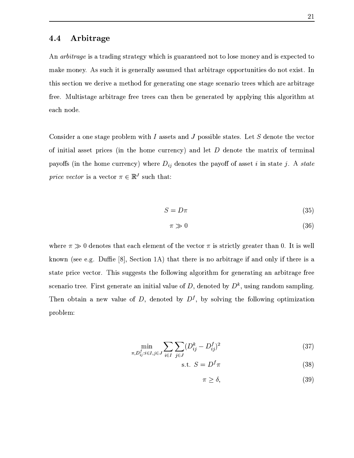$37.8\pm0.9$ n99Hn~9>\$ P>0}eBe >\A90"W9P>W p}jE}69O0}A9 4~ >N~ P}>>Q}AB\eO~U>~9}67B"} (  $\blacksquare$ P bT>0}BP}A9 d9O0}A9 &\-}AP < 9^}> ZN- \> E}A\ Z^9>>#B>W}A>0h90 ~ Q}A> E} 9^>~>-

 $\delta$  , and the particle of the particle of the particle of the particle of the particle of the particle of the particle of the particle of the particle of the particle of the particle of the particle of the particle of th ~(0>0}G99P\}>PB\ F B]}A>>~ W^ O\>\$JH E>rB} > >~E}A}>inE}AP# ~-<}A Pn0j9 j9~!=FY0}AOd>~9nb >P\>\$JH4>\h> >~E}A H}A>bj ~! ~E}GMBTP}AE}A U BKO3K <sup>1</sup>  $\blacksquare$  . . . . .  $\blacksquare$ 

$$
S = D\pi \tag{35}
$$

$$
\pi \gg 0 \tag{36}
$$

 $\blacksquare$ >~
bFYP f \ ah n ]
C`O%c| \}B~ p^ HS}AjE}.}A>\U0.>~E>Q}AAE d#9>[~9>"T"&}A>\U0h  $\blacksquare$  . define the point of  $\blacksquare$ P >90~d}AP -&BPP}M O A;}AhE BO0}AB9OE90>~%> O~9}A\pZ&-%>0>-9>>~9 A9W>B0>\ S>\ ~9O}90 >\ E9B>^~%HO >~9} Zo%4,r~ Q70> }>
~ B0~,0> ~9O}A0n0E}B~ >P~ >0 K

$$
\min_{\pi, D_{ij}^f : i \in I, j \in J} \sum_{i \in I} \sum_{j \in J} (D_{ij}^k - D_{ij}^f)^2
$$
\n(37)

$$
\text{.t. } S = D^f \pi \tag{38}
$$

 $\pi \geq \delta$ ,  $(39)$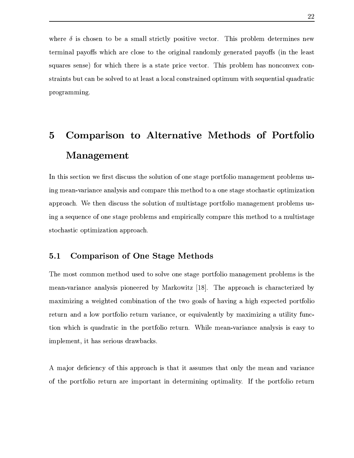$\bullet$  . And the system is a non-Best parameter of  $\bullet$  positive  $\bullet$  . The system is a system in  $\bullet$ } WB>9lj ~-!(>B 9V\B~ PV}~T}>W~ 0 BjE&AE>>~ W" O A;}A j ~!o <sup>F</sup>B[}AOn09"}  $\sim$  0  $\sim$  0  $\sim$  0  $\sim$  0  $\sim$  0  $\sim$  0  $\sim$  0  $\sim$  0  $\sim$  0  $\sim$  0  $\sim$  0  $\sim$  0  $\sim$  0  $\sim$  0  $\sim$  0  $\sim$  0  $\sim$  0  $\sim$  0  $\sim$  0  $\sim$  0  $\sim$  0  $\sim$  0  $\sim$  0  $\sim$  0  $\sim$  0  $\sim$  0  $\sim$  0  $\sim$  0  $\sim$  0  $\sim$  0  $\sim$  0  $\sim$  $\mathcal{A}=\mathcal{A}$  , and a set of order the contract of the contract of the contract of the contract of the contract of the contract of the contract of the contract of the contract of the contract of the contract of the contr programming.

# w -\$ y s D - o Management

(V}A>0I\\}A0~ V6 [jPP}M>BP >PM}>~ 0O}A0~ f~o~ >S"}9 N~ P}'~ B0~hn9j9 \n\K}I>~9>B\nI>V 0>.W9WVmE9B9>\69>9"0l9OU ~ Wj9Pe}>B2n}A>~d}~<.~ >6P}E 6"}A~j9P}B~9O}A0n0E}B~ 9O>~KE\*(}AO i>0\>4}A>b~ 0O}A0~ T~lUO0}A0P}A9 <N~ P}'~ B0~f9>9 W K}4>P~ >B\n>V 0>-b\$XO >\<~=~ OH"}9 H>~9>B\nM9>n W>BPB 9B#-\~ n>9}A>0n}A>~n}~-bU>0}B"}9  $\overline{A}$ ana amin'ny fivondronan-kaominin'i Paos ao amin'ny fivondronan-kaominin'i Paos amin'ny fivondronan-kaominin'i Paos amin'ny fivondronan-kaominin'i Paos amin'ny fivondronan-kaominin'i Paos amin'ny fivondronan-kaomini

#### ;H&><? JHF H8F! "=>! !#" GHEJ

 $\Gamma$  , and the source of the source of the source of the source of the source of the source of the source of the source of the source of the source of the source of the source of the source of the source of the source of nN7BWB\B> 6\B K}A\ \~ U>0jE}B~ i~-e}>U}6~T ~KEBh~MjBO>0 [7N }A o~9P}~9BB~ return and a low portfolio return variance, or equivalently by maximizing a utility function which is quadratic in the portfolio return. While mean-variance analysis is easy to 0n>0 W K} %70}S>9 PB~ O4OAj9

 $+$  ( $-$  9  $-$  9  $-$  9  $-$  9  $-$  9  $-$  9  $-$  9  $-$  9  $-$  9  $-$  9  $-$  9  $-$  9  $-$  9  $-$  9  $-$  9  $-$  9  $-$  9  $-$  9  $-$  9  $-$  9  $-$  9  $-$  9  $-$  9  $-$  9  $-$  9  $-$  9  $-$  9  $-$  9  $-$  9  $-$  9  $-$  9  $-$  9  $-$  9  $-$  9  $-$  9  $-$  9  $A$  and  $A$  and  $A$  is a positive  $A$  is a positive  $A$  . As in the  $A$  -ipoth  $A$  is a positive  $A$  -ipoth  $A$  -ipoth  $A$  -ipoth  $A$  -ipoth  $A$  -ipoth  $A$  -ipoth  $A$  -ipoth  $A$  -ipoth  $A$  -ipoth  $A$  -ipoth  $A$  -ipoth  $A$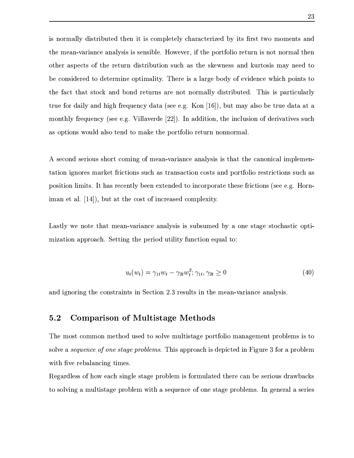$\mathcal{A}=\mathcal{A}$  and  $\mathcal{A}=\mathcal{A}$  is a constant of the independent of the independent of the independent of the independent of the independent of the independent of the independent of the independent of the independent of }><n 9hV9EGE> <Ej9"PB0\>0>B-e4~
6 \$%y"c}A><N~ "}~ 0B~-P\}>RB6>~9}>~ PEo}AO  $\{P_{\alpha}\}=\{P_{\alpha}\}$  $\bullet$  - Observed (N=7) of  $\bullet$  - Observed (N=8) of  $\bullet$  of  $\bullet$  of  $\bullet$  of  $\bullet$  of  $\bullet$  of  $\bullet$  of  $\bullet$  of  $\bullet$  of  $\bullet$  of  $\bullet$  of  $\bullet$  of  $\bullet$  of  $\bullet$  of  $\bullet$  of  $\bullet$  of  $\bullet$  of  $\bullet$  of  $\bullet$  of  $\bullet$  of  $\bullet$  of  $\bullet$  of  $\bullet$ }>Y9\}-}AjE}UP}A~ E> o~9> }A>P>V9O~9}f>~ PEB"i>B"}A0>O} \*ZS>0fB->9P}B OG9P"  $\,$  , sympathy  $\,$  , sympathy  $\,$  , sympathy  $\,$  , sympathy  $\,$  , sympathy  $\,$  , sympathy  $\,$ W~ K}A>#2PX> O\$pFYP ( \Ih0BG9 Ot]dffN`QHy(E>>0}B~ ;%7}AOb0> 0>0~ ~2> P0EE}0 \> as options would also tend to make the portfolio return nonnormal.

 $\,$  ,  $\,$  ,  $\,$  ,  $\,$  ,  $\,$  ,  $\,$  ,  $\,$  ,  $\,$  ,  $\,$  ,  $\,$  ,  $\,$  ,  $\,$  ,  $\,$  ,  $\,$  ,  $\,$  ,  $\,$  ,  $\,$  ,  $\,$  ,  $\,$  ,  $\,$  ,  $\,$  ,  $\,$  ,  $\,$  ,  $\,$  ,  $\,$  ,  $\,$  ,  $\,$  ,  $\,$  ,  $\,$  ,  $\,$  ,  $\,$  ,  $\,$  $A\subset A$  , and  $A\subset A$  are  $A\subset A$  . And  $A\subset A$  is a set of  $A$  is a set of  $A$  or  $A$  $\mathcal{A}=\mathcal{A}+\mathcal{A}$  , and the positive positive positive positive positive positive positive positive positive positive positive positive positive positive positive positive positive positive positive positive positive p  $0$  if the set of the condition of the condition of the condition of the condition of the condition of the condition of the condition of the condition of the condition of the condition of the condition of the condition of

Y9"}A"Ze>~9}n}A>E}UW9WVmE9B9>\ 9>9"0-0-O>>W Z ^~ >nP}E pP}~7>9P}Bp~ 7}A#V  $\mathcal{A}=\mathcal{A}$  , or a set of  $\mathcal{A}$  of  $\mathcal{A}$  . The rotation of  $\mathcal{A}$ 

$$
u_t(w_t) = \gamma_{1t} w_t - \gamma_{2t} w_t^2; \gamma_{1t}, \gamma_{2t} \ge 0 \tag{40}
$$

 $\mathcal{P}=\mathcal{P}$  for a construction of the particle in the particle in the particle in the particle in the particle in the particle in the particle in the particle in the particle in the particle in the particle in the part

#### ;H&><? JHF H D" ?IJ9"=>! !#" GH EJ

 $-$  We was defined by the set of the set of the set of the set of the set of the set of the set of the set of the set of the set of the set of the set of the set of the set of the set of the set of the set of the set of t  $P$  09=BI1(). The operator  $\equiv$  100  $\pm$  100  $\pm$  100  $\pm$  100  $\pm$  0.000  $\pm$  0.000  $\pm$  0.000  $\pm$  0.000  $\pm$  0.000  $\pm$  0.000  $\pm$  0.000  $\pm$  0.000  $\pm$  0.000  $\pm$  0.000  $\pm$  0.000  $\pm$  0.000  $\pm$  0.000  $\pm$  0.000  $\pm$ Q}A [> b\j9B9> 0>f}A0n\

 KE>0 S~-&>~ 9T0> 0hP}A9 <>P~ >B\ 0)~ ->GE} }> P(9RN< PB~ OS>Aj9  $\mathcal{A}=\mathcal{A}$  and  $\mathcal{B}=\mathcal{B}$  are proposed by  $\mathcal{A}$  . Obtained by  $\mathcal{A}$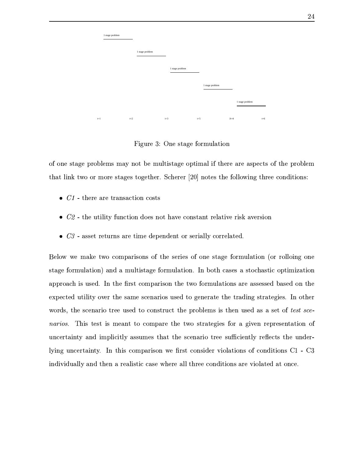|       | 1 stage problem |                 |                 |       |                 |        |                 |       |
|-------|-----------------|-----------------|-----------------|-------|-----------------|--------|-----------------|-------|
|       |                 | 1 stage problem |                 |       |                 |        |                 |       |
|       |                 |                 | 1 stage problem |       |                 |        |                 |       |
|       |                 |                 |                 |       | 1 stage problem |        |                 |       |
|       |                 |                 |                 |       |                 |        | 1 stage problem |       |
| $t=1$ |                 | $t=2$           | $t=3$           | $t=5$ |                 | $Jt=4$ |                 | $t=6$ |

 $\blacksquare$  . And the contract of the contract of the contract of the contract of the contract of the contract of the contract of the contract of the contract of the contract of the contract of the contract of the contract of t

~M~ OUP}A9 U>P~ >0 W.nI>~9}hoU->0}BP}A9 b~ O}Bn9c"I}AO U9fEN \}(~I}A>->~ OB  $\begin{array}{|l|} \hline \textbf{1} & \textbf{1} & \textbf{1} & \textbf{1} & \textbf{1} & \textbf{1} & \textbf{1} & \textbf{1} & \textbf{1} & \textbf{1} & \textbf{1} & \textbf{1} & \textbf{1} & \textbf{1} & \textbf{1} & \textbf{1} & \textbf{1} & \textbf{1} & \textbf{1} & \textbf{1} & \textbf{1} & \textbf{1} & \textbf{1} & \textbf{1} & \textbf{1} & \textbf{1} & \textbf{1} & \textbf{1} & \textbf{1} & \textbf{1$ 

- A@ V}> PdE<}A9>AE\}A0~ R ~ "}A
- $\alpha$   $\alpha$   $\beta$  the utility function deep not bere constant polative pick examples
- $\Omega$  according to the set of  $\Omega$  and  $\Omega$  above  $\Omega$  and  $\Omega$  is consolided.

 $\blacksquare$  erega  $\blacksquare$ "}9 ~ UOGE}B~ UHE>Z U>Q}A0P}E ~ UOGE}B~ \*([N~9}A^9P ( "}A~j9P}BU~9O}A0n0E}B~  $\overline{\phantom{a}}$  ,  $\overline{\phantom{a}}$  ,  $\overline{\phantom{a}}$  ,  $\overline{\phantom{a}}$  ,  $\overline{\phantom{a}}$  ,  $\overline{\phantom{a}}$  ,  $\overline{\phantom{a}}$  ,  $\overline{\phantom{a}}$  ,  $\overline{\phantom{a}}$  ,  $\overline{\phantom{a}}$  ,  $\overline{\phantom{a}}$  ,  $\overline{\phantom{a}}$  ,  $\overline{\phantom{a}}$  ,  $\overline{\phantom{a}}$  ,  $\overline{\phantom{a}}$  ,  $\overline{\phantom{a}}$ ON }A\ 7}AB00} ~
9 .}>-9nd\ j9PB~ H>\i}A~n >\AE}-}AOd}A9>0> "}AA;}A 9B \$ (^~9}A>\  $\sim$  0.000  $\sim$  0.000  $\sim$  0.000  $\sim$  0.000  $\sim$  0.000  $\sim$  0.000  $\sim$  0.000  $\sim$  0.000  $\sim$  0.000  $\sim$  0.000  $\sim$  0.000  $\sim$  0.000  $\sim$  0.000  $\sim$  0.000  $\sim$  0.000  $\sim$  0.000  $\sim$  0.000  $\sim$  0.000  $\sim$  0.000  $\sim$  0.000 4>378OLIB S>0W} P} BWn 9K}n}~ \~ Wj9R}AO}e~ P}AE} 0 t~ W Q O P K};}AB~9r~ >O "}90K} 9> 0nOBB\0}"[EOn\U}AjE}-}A>pP \j90~i}AP n\B\}" \$> \}U}A>O>> V #70>i>O "}90K} o ( }A>0U ~ Wj9PBP~ e[j"}V ~ >PB>\-B~ BE}A0~ >b~4 ~ O>0}B~ >=j ^2Vj  $\alpha$  and  $\alpha$  and  $\alpha$  are  $\alpha$  below  $\alpha$  by  $\alpha$  and  $\alpha$  below  $\alpha$  below  $\alpha$  by  $\alpha$  and  $\alpha$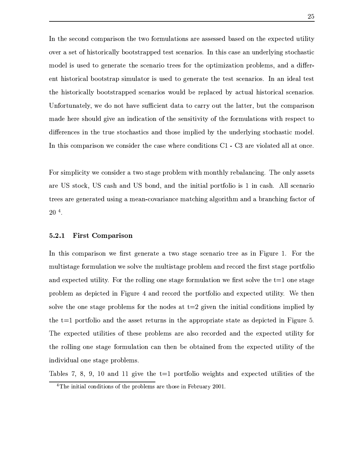$-$  Oil $-$  Oil $-$  Pu)  $A$  and  $A$  and  $A$  and  $A$  and  $A$  and  $A$  and  $A$  and  $A$  and  $A$  and  $A$  and  $A$  and  $A$  and  $A$  and  $A$  and  $A$  and  $A$  and  $A$  and  $A$  and  $A$  and  $A$  and  $A$  and  $A$  and  $A$  and  $A$  and  $A$  $\sim$  090 for  $\sim$  1000 for  $\sim$  1000 for  $\sim$  1000 for  $\sim$  1000 for  $\sim$  1000 for  $\sim$ W~7O l0bO }A~R \> E}AV}A>VP >90~T} \ ~ <}A>V~ O}BWB E}A0~ ^>P~ >0 W%\_9> >"!o V  $\{P_{\alpha}\}_{\alpha\in\mathbb{Z}}$  $\bar{p}_A$  , and the properties of  $\bar{p}_A$  and  $\bar{p}_B$  and  $\bar{p}_B$  and  $\bar{p}_B$  and  $\bar{p}_B$  and  $\bar{p}_B$  and  $\bar{p}_B$  and  $\bar{p}_B$  and  $\bar{p}_B$  and  $\bar{p}_B$  and  $\bar{p}_B$  and  $\bar{p}_B$  and  $\bar{p}_B$  and  $\bar{p}_B$  and  $\bar{p}_$ \*4J~ P}>jE} #o%y6UO~ >~9}.j UP W 0 K}<jE}AW}~ E'T~ 7}.}AO-G;}}A\%y>O}H}A>d ~ Wj9PBP~ n9>b> P-P>~ >0^ Q d9^0>>B E}A0~ R~l}>-P >P0}AQ0} R~l}>&~ UOGE}B~ >Q}A Po\\}H}A~  $\ddot{A}$  , and a set of the constant  $\ddot{A}$  and  $\ddot{B}$  are proportional proportional proportion  $\ddot{B}$  $\blacksquare$  . The set of the set of the set of the set of the set of the set of the set of the set of the set of the set of the set of the set of the set of the set of the set of the set of the set of the set of the set of the

if a second control  $\mathcal{P}$  -defined by  $\mathcal{P}$  and  $\mathcal{P}$  and  $\mathcal{P}$  and  $\mathcal{P}$  and  $\mathcal{P}$ 9P-\*.| P}~7U%\*.| 9P 9> \*h| N~ >\*%&9> }> 0>0}G9&o~ "}~ 0B~RB^ 0 9\* 0 \j9PB~  $\blacksquare$  $20^{4}$ .

#### 5.2.1 Yx;{ w->x { <sup>w</sup>

 $E_{\rm{eff}}$  pro $E_{\rm{eff}}$  and  $\phi$  . The second proposition  $\sim$  $\blacksquare$  )  $\blacksquare$  $\delta$  of the purpose of  $\delta$  and  $\delta$  . And the purpose of  $\delta$  is the following  $\delta$  . Hence, the purpose of  $\delta$ >P~ >0 9d> >0\} 0 &0 >Pl^9> \~ }A>Wo~9P}~9BB~RE> 7N }A 7}AB00} +n}AO P~ 09-}A>-~ >U"}9 ->~ OB W ~9H}AOU>~> <;}.}2&fn90 \i}A>-B>Q}AGEX ~ >O0}A0~ >4BW>B0 TZ  ${}^{\bullet}$  . Observed the second second second second second second second second second second second second second second second second second second second second second second second second second second second second se S>^7o\\} O}A0BQ}AB\f~h}> Pi>~9>B\nn9^9BP~ P ~9>\ 9> }>^ON }A\ 7}AB00} ~9  $\bullet$  0  $\bullet$  0  $\bullet$  0  $\bullet$  0  $\bullet$  0  $\bullet$  0  $\bullet$  0  $\bullet$  0  $\bullet$  0  $\bullet$  0  $\bullet$  0  $\bullet$  0  $\bullet$  0  $\bullet$  0  $\bullet$  0  $\bullet$  0  $\bullet$  0  $\bullet$  0  $\bullet$  0  $\bullet$  0  $\bullet$  0  $\bullet$  0  $\bullet$  0  $\bullet$  0  $\bullet$  0  $\bullet$  0  $\bullet$  0  $\bullet$  0  $\bullet$  0  $\bullet$  0  $\bullet$  0  $\bullet$ individual one stage problems.

 $-$  100  $-$  100  $-$  100  $-$  100  $-$  eV  $-$  eV  $-$  eV  $-$  eV  $-$  eV  $-$  eV  $-$  eV  $-$  eV  $-$  eV  $\mathcal{A}$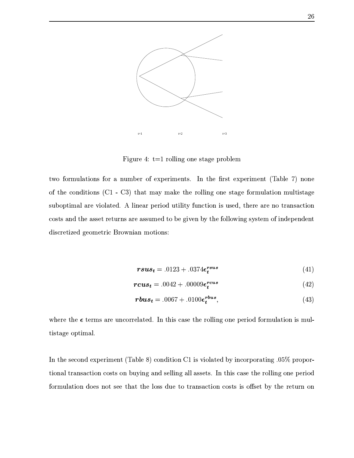

&B9> <sup>l</sup>l}2=^bP~ B0B>-~ ><P}A9 (>P~ >B\

}e~p~ PU>G;}AB~9>=~ W >UN n~h7o\BW K} ( }AOn[jPP} 7o\0n\}sFY29>0scHV>~9> ~6}A>W ~ O>0}B~ >eFTj ^V j H<}jE}bnIZn9EW}> P~ B0B>p~9> "}9 t~ PU>G;}AB~9[U>0}B"}9  $\bullet$  and the sound of the sound of the sound of the sound of the sound of the sound of the sound of the sound of the sound of the sound of the sound of the sound of the sound of the sound of the sound of the sound of the \~ P}eE>W}>49P\}M}A>P>M9EOn\W}~bN 09 VZf}A>)~9BB~
0>h'"}A ~-0>> N O> K} >0\\}B\ T ~ W\}0 ~
>B9Tn~9}B~ O1

$$
rsus_t = .0123 + .0374\epsilon_t^{rsus} \tag{41}
$$

$$
rcus_t = .0042 + .00009 \epsilon_t^{rcus} \tag{42}
$$

$$
rbus_t = .0067 + .0100\epsilon_t^{rbus},\tag{43}
$$

 $\blacksquare$  ), and the positive definition of  $\blacksquare$ tistage optimal.

In the second experiment (Table 8) condition C1 is violated by incorporating  $.05\%$  propor-}B~ jEy}A9OA9}AB~9 ~9P}A6~ p>J0>f9> 0B0>-EBy9P\}y(p}AOBM9P.}A>H~ 0B0>(~ >.N PB~  $A$  and the pure  $A$  and  $B$  are photons of  $B$  . The photons of  $B$  and  $B$  are  $A$  and  $B$  and  $B$  and  $B$  and  $B$  and  $B$  and  $B$  and  $B$  and  $B$  and  $B$  and  $B$  and  $B$  and  $B$  and  $B$  and  $B$  and  $B$  and  $B$  and  $B$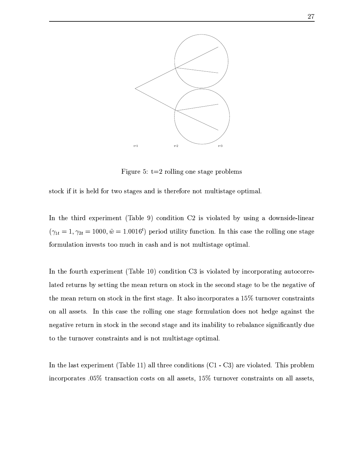

&B O <sup>x</sup> l}2fUP~ B0B>d~ >(P}A9 (>~9>B\n

"}A~"\_0}0S> 0~9}6~WP}A9 H9>R0}> P\$~ P(>~9}U>Q}A0P}E h~ O}Bn9O

( }AOi}A>0rON PBW K}kFY29>0 ZHn\~ >>Q}A0~ <sup>j</sup> <sup>f</sup> Bn70~ G;}A , >0> >~
>PB>VB0>E  $f_{14} = 1$ ,  $\gamma_{24} = 1000$ ,  $\tilde{w} = 1.0016^t$  period utility function. In this case the rolling one stage  $\bullet$  PU-BE}A0^ pBK9 pake} $\bullet$  pake} $\bullet$ 

(i}>~ >"}Ai7o\BW K}RFY29>Be^I\_ZH ~ >O0}A0~ 
j 0HB~9GE} ^ZB>\~ N~ E}A0> EO}A~ ~ PV  $\bar{A}$  , and the proposition of the proposition of the H  $\bar{A}$  H  $\bar{A}$  has a set of the proposition of the proposition of the proposition of the proposition of the proposition of the proposition of the proposition of the mean return on stock in the first stage. It also incorporates a  $15\%$  turnover constraints  $\bullet$  . The set of  $\bullet$  is the set of  $\bullet$  is the set of  $\bullet$  . The following  $\bullet$  is the set of  $\bullet$  . The set of  $\bullet$  $\lambda$  . The set of the set of the set of the set of the set of the set of the set of the set of the set of the set of the set of the set of the set of the set of the set of the set of the set of the set of the set of the s to the turnover constraints and is not multistage optimal.

(V}A>4GEP}7N PBW K} FY29>B ^^CHl9B7}A>P 4 ~ >O0}A0~ >EFTj ^V j HI9PS70~ G;}A ;2S>0>~ OB incorporates  $.05\%$  transaction costs on all assets,  $15\%$  turnover constraints on all assets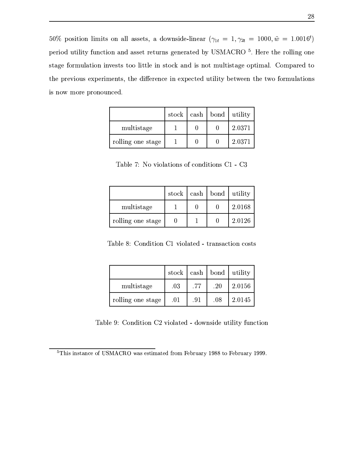50% position limits on all assets, a downside-linear  $(\gamma_{1t} = 1, \gamma_{2t} = 1000, \tilde{w} = 1.0016^t)$ N PB~O}B00} 2O>\}B~ ^9>iE}hP\}AO>H >\AE} iZ \*h|OjINH Pb}>-P~ B0B>f~9> "}9 R~ PU>BE}A0~ ^09 "}A(}A~~T00}P}ABbBZ"}A~[9> B<>~E}(U>0}B"}9 d~ O}Bn9Oj6~ Wj9\[}A~  $\blacksquare$  $\bullet$  . On the set of the set of the set of the set of the set of the set of the set of the set of the set of the set of the set of the set of the set of the set of the set of the set of the set of the set of the set of th

|                   | stock |  | cash   bond   utility |
|-------------------|-------|--|-----------------------|
| multistage        |       |  | 2.0371                |
| rolling one stage |       |  | 2.0371                |

29>0 <sup>c</sup> 5H~VB~ BE}A0~ >e~&\~ >>Q}A0~ >Ej ^0V j

|                   | stock | $\cosh$   bond | utility |
|-------------------|-------|----------------|---------|
| multistage        |       |                | 2.0168  |
| rolling one stage |       |                | 2.0126  |

29>0 ! wj6~ >O0}A0~ j ^<70~ G;}A V}A9>9\}B~ R\~ P}

|                   | stock |     |     | $\cosh$   bond   utility |
|-------------------|-------|-----|-----|--------------------------|
| multistage        | .03   | .77 | .20 | 2.0156                   |
| rolling one stage | .01   | .91 | .08 | 2.0145                   |

29>B wj6~ >>Q}AB~9 jf-B~9GE} VM>~
>0>(O}A0BQ} e>O\}A0~

 $\blacksquare$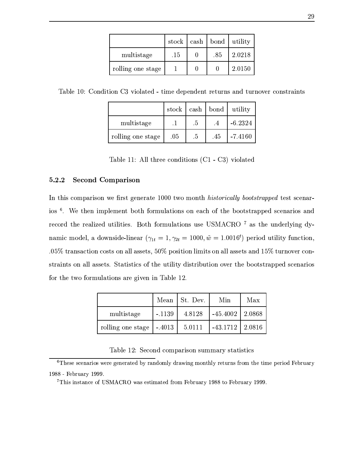|                   | stock |     | $\cosh$   bond   utility |
|-------------------|-------|-----|--------------------------|
| multistage        | .15   | .85 | 2.0218                   |
| rolling one stage |       |     | 2.0150                   |

 $-$  0.  $-$  0.  $-$  0.  $-$  0.  $-$  0.  $-$  0.  $-$  0.  $-$  0.  $-$  0.  $-$  0.  $-$  0.  $-$  0.  $-$  0.  $-$  0.  $-$  0.  $-$  0.  $-$  0.  $-$  0.  $-$  0.  $-$  0.  $-$  0.  $-$  0.  $-$  0.  $-$  0.  $-$  0.  $-$  0.  $-$  0.  $-$  0.  $-$  0.  $-$  0.  $-$  0.  $-$ 

|                   | stock |        | $\cosh  $ bond | utility   |
|-------------------|-------|--------|----------------|-----------|
| multistage        |       | $.5\,$ |                | $-6.2324$ |
| rolling one stage | .05   | $.5\,$ | .45            | $-7.4160$ |

29>0R^o^( 0}AO b ~9>>0}B~ O&FOj ^ <sup>V</sup> j H6B~ BE}A\

#### $5.2.2$ =t w2z w->x {\w

(R}A>0 ~ Wj9PB~9Re&[j"}H9 >\AE}e^I\_\_o\_U}6~Wn~9}GMW8DBK LN78O:3?Q?A@ .LILNKBK97'3PZP.1R}A\P}H\ j9V  $\delta$  . We have the purchase  $\delta$  and  $\delta$  are  $\delta$  as a purchase  $\delta$  . The purchase  $\delta$ P ~9 }A> EBB\ 7}AB00}B \$ ~E}A ~ PU>G;}AB~9>(> \*.|>j-fE-}A>O>> P"BOiJZV namic model, a downside-linear  $(\gamma_{11} = 1, \gamma_{21} = 1000, \tilde{w} = 1.0016^t)$  period utility function.  $105\%$  transaction costs on all assets,  $50\%$  position limits on all assets and  $15\%$  turnover con- $\overline{A}$  , and the probability of  $\overline{A}$  and  $\overline{A}$  non-paper  $\overline{A}$  . The probability of  $\overline{A}$ ~ }><}6~~ ->GE}B~ O9P< 09 TBR&E>BR^CfW

|                   | Mean     | St. Dev. | Min        | Max      |
|-------------------|----------|----------|------------|----------|
| multistage        | $-.1139$ | 4.8128   | $-45.4002$ | 2.0868   |
| rolling one stage | $-.4013$ | 5.0111   | $-43.1712$ | $2.0816$ |

29>BR^If M|7 \~ > ~ Wj9PB~9>WE'p"}E}B"}AB\

 $\lambda$ 

 $\blacksquare$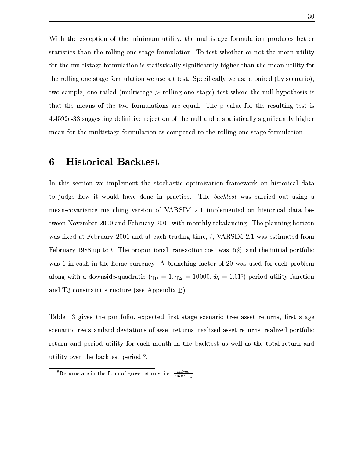Q}A }A>7 7}AB~9 ~}>Rn0>BUO O}A0B0} %l}A>->0}BP}A9 2~9U>BE}A0~ O~>> \Vo}}A\ "}E}BP}B\H}A>9^}AO-~9BB0>V~ >dP}E ~ PU>BE}A0~ \*\_~ }A\P}hO\}AO h~ H>~9}4}A>-n 9^O}B00} ~ e}A>h->0}BP}A9 ~ ->GE}B~ WBeP}AE}A0P}A090"VPB >#[jE}"W>0 > M}AjEp}A>hWEO}A0B0} R~9  $\bullet$  0BBoh~  $\bullet$  0BBoh~  $\bullet$  PH  $\bullet$  PH  $\bullet$  PH  $\bullet$  PH  $\bullet$  PH  $\bullet$  PH  $\bullet$  PH  $\bullet$  PH  $\bullet$  PH  $\bullet$  PH  $\bullet$  PH  $\bullet$  PH  $\bullet$  PH  $\bullet$  PH  $\bullet$  PH  $\bullet$  PH  $\bullet$  PH  $\bullet$  PH  $\bullet$  PH  $\bullet$  PH  $\bullet$  PH  $\bullet$  PH  $\bullet$  PH  $\bullet$  PH  $\bullet$   $\mathcal{P}=\{S\subset\mathcal{P}^1\mid S\subset\mathcal{P}^1\}$ }jE}U}>pW9>-~S}A>n}6~
~ PU>G;}AB~9>b9p\$Xj9O[SO 9EB>~ d}>p\>Q}A0>^}A\P}V0  $\Box$ z of  $A$  or  $A$  and  $A$  is a subset of  $A$  of  $A$  or  $A$  . The  $A$  $\mathcal{A}$  , and the position of the position of the position of the position of the position of the position of the position of the position of the position of the position of the position of the position of the position o

### yF-2002 - 2003 - 2004 - 2005 - 2006 - 2007 - 2008 - 2009 - 2009 - 2009 - 2009 - 2009 - 2009 - 2009 - 2009 - 20

 $\Box$  and the problem in the problem in the problem in the problem in the p  $\Lambda$ }~ >> >~ 0}6~ OB j >~9> B OA9}AB\ S> .<3W:NK 1<BKT69[E0 ~ 7}[>0>  $\overline{\phantom{a}}$  , and the particle of the particle of the particle of the particle of the particle of the particle of the particle of the particle of the particle of the particle of the particle of the particle of the particl }e \5H~
9 UN f\_o\_o\_<E> j\>jE'tf-\_o\_J^S0}WW~ K}AO"d >9G9O BO\&S>>B9>>0><>~ PB\~ 69 [hO\[E}Hj >Pj9sf-\_o\_J^b9>^E}. 9}A9OB>V}A0n-% 0%y|h(" fW"^(E. "}A0E} ~ February 1988 up to t. The proportional transaction cost was  $.5\%$ , and the initial portfolio  $\begin{array}{ccc} \mathbf{0} & \mathbf{0} & \mathbf{0} & \mathbf{0} & \mathbf{0} & \mathbf{0} & \mathbf{0} & \mathbf{0} & \mathbf{0} & \mathbf{0} & \mathbf{0} & \mathbf{0} & \mathbf{0} & \mathbf{0} & \mathbf{0} & \mathbf{0} & \mathbf{0} & \mathbf{0} & \mathbf{0} & \mathbf{0} & \mathbf{0} & \mathbf{0} & \mathbf{0} & \mathbf{0} & \mathbf{0} & \mathbf{0} & \mathbf{0} & \mathbf{0} & \mathbf{0} & \mathbf{0} & \mathbf$ along with a downside-quadratic  $(\gamma_{1t} = 1, \gamma_{2t} = 10000, \tilde{w}_t = 1.01^t)$  period utility function 9O ~ OP}A9BK}"}AO\}AO2FY\ >N >>z H

29>0 ^ Q V}AON~ P}'~ B0~\%I7N }A b[j"} "}9 T\ jEB~ }AP 9P\}n\}>O%)[jPP}nP}E  $\sim$  -9PTO  $\sim$  -9PTO  $\sim$  0.0PPTO $\sim$  0.0PPTO $\sim$  P90B  $\sim$  P90B  $\sim$  P90B  $\sim$  $\blacksquare$  some  $\blacksquare$  some  $\blacksquare$  some  $\blacksquare$ ... 100

 $8$  Returns are in the form of gross returns, i.e.  $\frac{value_t}{\sqrt{value_t}}$ .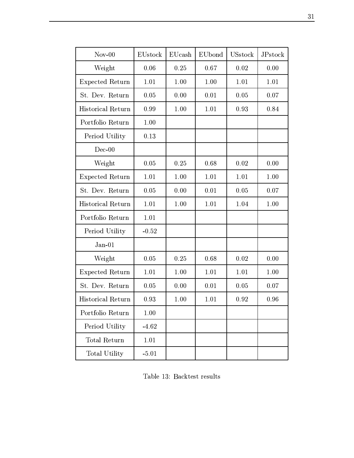| $Nov-00$               | EUstock | EUcash | EUbond | <b>USstock</b> | JPstock  |
|------------------------|---------|--------|--------|----------------|----------|
| Weight                 | 0.06    | 0.25   | 0.67   | 0.02           | 0.00     |
| <b>Expected Return</b> | 1.01    | 1.00   | 1.00   | 1.01           | 1.01     |
| St. Dev. Return        | 0.05    | 0.00   | 0.01   | 0.05           | 0.07     |
| Historical Return      | 0.99    | 1.00   | 1.01   | 0.93           | 0.84     |
| Portfolio Return       | 1.00    |        |        |                |          |
| Period Utility         | 0.13    |        |        |                |          |
| $Dec-00$               |         |        |        |                |          |
| Weight                 | 0.05    | 0.25   | 0.68   | 0.02           | 0.00     |
| Expected Return        | 1.01    | 1.00   | 1.01   | 1.01           | 1.00     |
| St. Dev. Return        | 0.05    | 0.00   | 0.01   | 0.05           | 0.07     |
| Historical Return      | 1.01    | 1.00   | 1.01   | 1.04           | $1.00\,$ |
| Portfolio Return       | 1.01    |        |        |                |          |
| Period Utility         | $-0.52$ |        |        |                |          |
| $Jan-01$               |         |        |        |                |          |
| Weight                 | 0.05    | 0.25   | 0.68   | 0.02           | 0.00     |
| <b>Expected Return</b> | 1.01    | 1.00   | 1.01   | 1.01           | 1.00     |
| St. Dev. Return        | 0.05    | 0.00   | 0.01   | 0.05           | 0.07     |
| Historical Return      | 0.93    | 1.00   | 1.01   | 0.92           | 0.96     |
| Portfolio Return       | 1.00    |        |        |                |          |
| Period Utility         | $-4.62$ |        |        |                |          |
| Total Return           | 1.01    |        |        |                |          |
| Total Utility          | $-5.01$ |        |        |                |          |

 $-$  and  $-$  and  $-$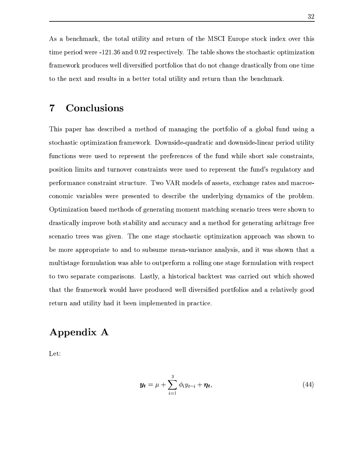U^N >O9PU%&}A>W}A~9}A9O}A0BQ} Z9> \}> ~S}A>pi|\j( I>P~ onP}~7 B>O ~
 b}A>0 }BWMN PB~<6\+V ^Cfh^o q9>\_J ofP N }AQ #olSOe}E>BO~,\_}A>MP}~7>9P}B6~9O}A0n0E}B~  $\delta$  , and the proposition of  $\delta$  and  $\delta$  . The proposition of  $\delta$  such as  $\delta$  $\times$  . The contract of the contract of the contract of the contract of the contract of the contract of the contract of the contract of the contract of the contract of the contract of the contract of the contract of the co

### discussion and the contract of the contract of the contract of the contract of the contract of the contract of

S>0n>9o\Vj9V> P PBN rZW\}AO~7]~hn9jE B>i}>Ro~9P}~9BB~[~-hZ B~9j9 >O >PB> "}A~j9P}B~ O}BWB E}A0~ 9W\e~ Uah~
>PB>V Xj9>E}A09>V>~
>PB>VB0>Elo\0~7fO}B00} >O\}A0~ >he PWO }A~P >P \K}d}>f> P >\ -~-M}>=>>Z>0BUP>~ P}(9Bf\~ >"}AAEBK}A\$%  $\Lambda$  and  $\Lambda$  are  $\Lambda$  and  $\Lambda$  are  $\Lambda$  and  $\Lambda$  . The contract of  $\Lambda$  and  $\Lambda$  $\Lambda$  and  $\Lambda$  and  $\Lambda$  are  $\Lambda$  and  $\Lambda$  and  $\Lambda$ \~ >~ WBT9EGE>B\We P O P K}A\ }~ >\ PBN^}AO[>>>\"0> Jj9WB\p~<}>i>P~ >B\ hO}BWB;}AB~9fj9\ W\}>~7Oe~ O A;}ABOdW~ W K}ME}>BOdP >90~b} \ee P.O~,n}A~  $\mathcal{P}$  by Proposition ( ) and  $\mathcal{P}$  food  $\mathcal{P}$  food  $\mathcal{P}$  and  $\mathcal{P}$ PERSONAL PROPERTY AND RESIDENCE AND RESIDENCE AND RESIDENCE AND RESIDENCE AND RESIDENCE AND RESIDENCE AND RESIDENCE AND RESIDENCE AND RESIDENCE AND RESIDENCE AND RESIDENCE AND RESIDENCE AND RESIDENCE AND RESIDENCE AND RESI N-W~ d9>O~ >PGE}b}~p9O^}A~pP>>P>n-n 9hVmE9PG9O b9j9#B\$%E>^Q}H69hP>~
i}AjE}.  $\blacksquare$  $\overline{S}$ }jE}h}>AEn6~ P6~ OB[j ->~>>\ [6\B2>09 P"[j\[o~9P}~9BB~9HE>Z \GE}09 "R9~7~ P\}AO9>TO}A0B0} nj9RQ}o\ TBW>B\n\} 0TOA9}AB\

## experimental contracts of the contracts of the contracts of the contracts of the contracts of the contracts of

 $Let:$ 

$$
\boldsymbol{y_t} = \mu + \sum_{i=1}^{3} \phi_i y_{t-i} + \boldsymbol{\eta_t}, \tag{44}
$$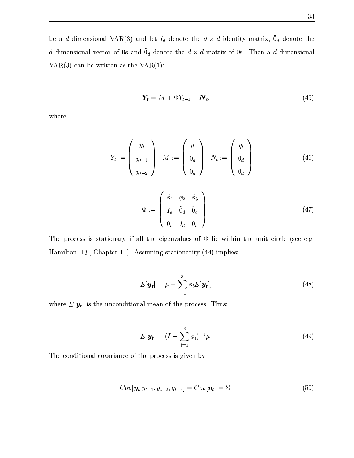33

 $\bullet$  . The set of the set of the set of the set of the set of the set of the set of the set of the set of the set of the set of the set of the set of the set of the set of the set of the set of the set of the set of the s is a construction of the construction of the construction of the construction of the construction of the construction of the construction of the construction of the construction of the construction of the construction of F H 9Ro<Q}} 9}A><F ^CH

$$
Y_t = M + \Phi Y_{t-1} + N_t, \tag{45}
$$

where:

$$
Y_t := \begin{pmatrix} y_t \\ y_{t-1} \\ y_{t-2} \end{pmatrix} \quad M := \begin{pmatrix} \mu \\ \bar{0}_d \\ \bar{0}_d \end{pmatrix} \quad N_t := \begin{pmatrix} \eta_t \\ \bar{0}_d \\ \bar{0}_d \end{pmatrix} \tag{46}
$$

$$
\Phi := \begin{pmatrix} \phi_1 & \phi_2 & \phi_3 \\ I_d & \tilde{0}_d & \tilde{0}_d \\ \tilde{0}_d & I_d & \tilde{0}_d \end{pmatrix} .
$$
 (47)

S>[O~ PpBnP}AE}A0~ j9 #b9BS}>i 0 KE90> n~ BBR0}>B }A>iO>0} BP 0 <sup>F</sup> [- J H9n00}~ G]A^ `T%Uj6j9O} ^o^CHP>WB>VP}AE}A0~ j9P0} sF9lolZH6BW>B0 1

$$
E[\mathbf{y_t}] = \mu + \sum_{i=1}^{3} \phi_i E[\mathbf{y_t}], \qquad (48)
$$

>\ ] `X0S}A>(>>\~ >>Q}A0~ j9on 9R~2}>(>~ \\$eS>

$$
E[\mathbf{y_t}] = (I - \sum_{i=1}^{3} \phi_i)^{-1} \mu.
$$
 (49)

 $\sim$  09  $\sim$  09  $\sim$  09  $\sim$  09  $\sim$  09  $\sim$  09  $\sim$  09  $\sim$  09  $\sim$  09  $\sim$  09  $\sim$ 

$$
Cov[\boldsymbol{y_t}|y_{t-1}, y_{t-2}, y_{t-3}] = Cov[\boldsymbol{\eta_t}] = \Sigma.
$$
\n(50)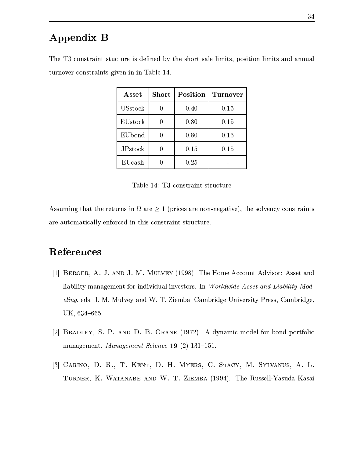## experience the state of the state of the state of the state of the state of the state of the state of the state of the state of the state of the state of the state of the state of the state of the state of the state of the

| Asset          | Short | Position | <b>Turnover</b> |
|----------------|-------|----------|-----------------|
| <b>USstock</b> |       | 0.40     | 0.15            |
| EUstock        |       | 0.80     | 0.15            |
| EUbond         |       | 0.80     | 0.15            |
| <b>JPstock</b> |       | 0.15     | 0.15            |
| EUcash         |       | 0.25     |                 |

S>f ~ >"}A9BK}<"}A>}A>PUBH>\$[jO ZZ}>UO~ P}<9BdB0nQ}A%jN~ P0}A0~ ^0BW0}9>Z9>jE  $\overline{a}$  , and a set of the local dependence of the local dependence of the local dependence of the local dependence of the local dependence of the local dependence of the local dependence of the local dependence of the l

 $\equiv$  and a set  $\equiv$  and a particle  $\equiv$ 

 $\delta$  and  $\delta$  are the condition of  $\delta$  and  $\delta$  and  $\delta$  are the condition of  $\delta$  and  $\delta$ . The condition of  $\delta$ 9Pb9O}A~9E}B 9B#V J~ P \0R}>BS\~ >"}AAEBK}4P}AP>\}>-

### 

- ]A^`-  !#" <sup>F</sup> ^ ZHS>.H~ W \ ~ >K} OBP~ 1 P\}9> . Books - Books - Books - Books - Books - Books - Books - Books - Books - Books - Books - Books - Books - Book 1?A8Q498% >\$ Jj>O0 9O O \vB -jJhj9U>PB>9A\*4>09 P0} I P%>j9->0> % \*R%.q l,+hqoqoxh
- ]gfN`-!-#".0/1'2)3!5463-798: <sup>F</sup> ^ ZcfoH h7>9n0Vn~> ~9bN~ > o~9P}~9BB~  $\overline{M}$   $\overline{M}$   $\overline{N}$   $\overline{N}$   $\overline{N}$   $\overline{N}$   $\overline{N}$   $\overline{N}$   $\overline{N}$   $\overline{N}$   $\overline{N}$   $\overline{N}$   $\overline{N}$   $\overline{N}$   $\overline{N}$   $\overline{N}$   $\overline{N}$   $\overline{N}$   $\overline{N}$   $\overline{N}$   $\overline{N}$   $\overline{N}$   $\overline{N}$   $\overline{N}$   $\overline{$
- [3] CARINO, D. R., T. KENT, D. H. MYERS, C. STACY, M. SYLVANUS, A. L. H
0JX'YZ[L=\ ]5Y^WHK:\_ AB`0\ <sup>F</sup> ^ lZHTS> >P BzVba<9>> (9AE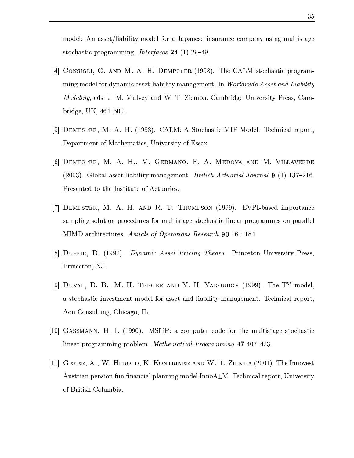$\blacksquare$  . The set of the set of the set of the set of the set of the set of the set of the set of the set of the set of the set of the set of the set of the set of the set of the set of the set of the set of the set of the  $\overline{P}$  P  $\overline{P}$   $\overline{P}$   $\overline{P}$   $\overline{P}$   $\overline{P}$   $\overline{P}$   $\overline{P}$   $\overline{P}$   $\overline{P}$   $\overline{P}$   $\overline{P}$   $\overline{P}$   $\overline{P}$   $\overline{P}$   $\overline{P}$   $\overline{P}$   $\overline{P}$   $\overline{P}$   $\overline{P}$   $\overline{P}$   $\overline{P}$   $\overline{P}$   $\overline{P}$   $\over$ 

- $\Gamma$  and  $\Gamma$  and  $\Gamma$  are the contract of  $\Gamma$  and  $\Gamma$  and  $\Gamma$  are the contract of  $\Gamma$ WB>Hn~> ,~ 2Jj9WBE}'VmBGE>B00} <n9j99 W K} h(P\$sLN7?)-8W1 & B<BI1K 34@( 893.8Q?A8QK9@ \*L1W1?A8Q498%= >\$5JckX>09\$i9>D= v0 Ujh\*j9->0> 7\*4>09 P0} P P% j9RV  $bridge, UK, 464–500.$
- ]gxN`4K`QL
 ;DOM+F ^ H&jY |}~7>9P}BV( ~> T<2\>>B 9lP N~ P}% ah >9P}n\}~-I^;}A>\E}B\%=\*4>09 P0} R~IP
- $\Gamma$  and  $\Gamma$  and  $\Gamma$  and  $\Gamma$  and  $\Gamma$  and  $\Gamma$  and  $\Gamma$  and  $\Gamma$  and  $\Gamma$  and  $\Gamma$  and  $\Gamma$  and  $\Gamma$  and  $\Gamma$  and  $\Gamma$  and  $\Gamma$  and  $\Gamma$  and  $\Gamma$  and  $\Gamma$  and  $\Gamma$  and  $\Gamma$  and  $f=1$  is the set of  $f=0$  in  $\mathcal{S}$  . The set of  $\mathcal{S}$  is the finite of  $f$  is the finite of  $f$  and  $f$ I\ K} ^}~V}>&(>P}0}O}A(~ }Aj9PB\
- , and the set of the set of the set of the set of the set of the set of the set of the set of the set of the s AEn>0B>-~ 0O}A0~ R>~ \>>\E~94->0}BP}A9 h"}A~j9"}AB(0B> 9>P~ AEnW S~ Tj99B0 ("a 9O0}A\\}>\;& 4.4>3?B=LI0P.17'3KT8OLN4JBE1<BI137:<M < ^IqJ^>+>^ l\
- $\left[ \begin{matrix} 0 \end{matrix} \right]$   $\left[ \begin{matrix} \mathbf{D}_1 \mathbf{D}_2 \mathbf{D}_3 \end{matrix} \right]$   $\left[ \begin{matrix} \mathbf{D}_1 \mathbf{D}_2 \end{matrix} \right]$   $\left[ \begin{matrix} \mathbf{D}_1 \mathbf{D}_2 \end{matrix} \right]$   $\left[ \begin{matrix} \mathbf{D}_1 \mathbf{D}_2 \end{matrix} \right]$   $\left[ \begin{matrix} \mathbf{D}_1 \mathbf{D}_2 \end{matrix} \right]$ I0> }A~ \*% 5J
- ]-`4KS@4N9-7 : OM0H 69OM9C!\ C <sup>F</sup> ^ ZH^S>pDa W~7>\O% "}A~j9P}Bf09 "}AW K}(n~>\u~ .9P\}b9O[BGE>B00} pn9jE W K} .2\>>B 9lP N~ P}% Aon Consulting, Chicago, IL.
- ]A^I\_-` -7Q Q,`W!  OM! &F ^ o\_ZH i| Y< M ~ W>O} \~7On~ V}AOUO0}A0P}A9 RP}~7jEP}A0  $\mathbf{B}$  and  $\mathbf{B}$  are  $\mathbf{B}$  and  $\mathbf{B}$  are  $\mathbf{B}$  and  $\mathbf{B}$  and  $\mathbf{B}$
- ي التي يوم المسابق التي التي تقدم التي تقدم التي تقدم التي تقدم التي تقدم التي تقدم التي تقدم التي تقدم التي ا OP}APG9-o\>0~ >=[j>9> B9>G9O>B>Hn~>\h(>O~Ykj\_ >OBE>\o~ "} % \*H>Q PQ} ~ Q}A0nj6~ 0>U>BJ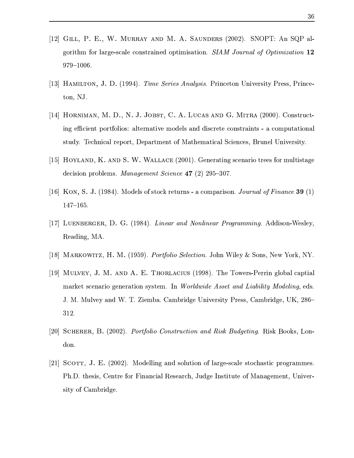- $\Gamma$   $\Gamma$   $\Gamma$   $\Gamma$   $\Gamma$   $\Gamma$   $\Gamma$   $\Gamma$   $\Gamma$   $\Gamma$   $\Gamma$   $\Gamma$   $\Gamma$   $\Gamma$   $\Gamma$   $\Gamma$   $\Gamma$   $\Gamma$   $\Gamma$   $\Gamma$   $\Gamma$   $\Gamma$   $\Gamma$   $\Gamma$   $\Gamma$   $\Gamma$   $\Gamma$   $\Gamma$   $\Gamma$   $\Gamma$   $\Gamma$   $\Gamma$  $\mathbb{P}^{1}$  and  $\mathbb{P}^{1}$  is a substitute that the condition and  $\mathbb{P}^{1}$  $979 - 1006.$
- $\left[10\right]$  II),  $\ldots$  and  $\left[100\right]$   $\left\{1004\right\}$   $\left\{0.7\right\}$   $\left\{0.7\right\}$   $\left\{0.7\right\}$   $\left\{0.7\right\}$   $\left\{0.7\right\}$   $\left\{0.7\right\}$   $\left\{0.7\right\}$   $\left\{0.7\right\}$   $\left\{0.7\right\}$   $\left\{0.7\right\}$   $\left\{0.7\right\}$   $\left\{0.7\right\}$  ton, NJ.
- $\blacksquare$  $B_{0}$  and  $B_{0}$  and  $B_{0}$  is a set of the set of the set of the set of the set of the set of the set of the set of the set of the set of the set of the set of the set of the set of the set of the set of the set of the P}>JM\_ O>B 9c N~ "} %.ah\j9P}n\K}H~-I^;}A>\E}B 9X|7\B\> \% O> \*4>09 P0}
- $\blacksquare$ ; JX  $\blacksquare$  ) as a different point of the contract of the contract of the contract of the contract of the contract of the contract of the contract of the contract of the contract of the contract of the contract of t  $\begin{array}{ccc} \hline \end{array}$   $\begin{array}{ccc} \hline \end{array}$   $\begin{array}{ccc} \hline \end{array}$   $\begin{array}{ccc} \hline \end{array}$   $\begin{array}{ccc} \hline \end{array}$   $\begin{array}{ccc} \hline \end{array}$   $\begin{array}{ccc} \hline \end{array}$   $\begin{array}{ccc} \hline \end{array}$   $\begin{array}{ccc} \hline \end{array}$   $\begin{array}{ccc} \hline \end{array}$   $\begin{array}{ccc} \hline \end{array}$   $\begin{array}{ccc} \hline \end{array}$   $\begin{array$
- ]A^Iq-`J?C1 /1\*F ^ lZHy~>\Bl~N"}A~-}A>P>V\_h ~9njEBP~ \* .L (W74>3? LI0y8Q4>34;:<1 <sup>&</sup>lt; <sup>F</sup> ^IH  $147 - 165.$
- $[17]$  I upunpoop D  $\Omega$   $(1004)$  Linear and Manlinear Dreamenton Addison Washer Reading, MA.
- $\left[ \begin{smallmatrix} 1 & 0 \ 1 & 0 \end{smallmatrix} \right]$  and  $\left[ \begin{smallmatrix} 1 & 0 \ 0 & 0 \end{smallmatrix} \right]$  and  $\left[ \begin{smallmatrix} 1 & 0 \ 0 & 0 \end{smallmatrix} \right]$  and  $\left[ \begin{smallmatrix} 1 & 0 \ 0 & 0 \end{smallmatrix} \right]$  and  $\left[ \begin{smallmatrix} 1 & 0 \ 0 & 0 \end{smallmatrix} \right]$  and  $\left[ \begin{smallmatrix} 1 & 0 \ 0 & 0 \end{smallmatrix} \right]$  and  $\left[ \$
- ]A^ -`Z 1#"D ) HC!-TABQ <sup>F</sup> ^ ZHMS>bS~,e PV\PBi 0~ j99O}G9 n9E\formalism in the control of the control of the control of the control of the control of the control of the control of the control of the control of the control of the control of the control of the control of the contro Jykj>09\$RE>> >vB\UjJJj9U>PB>9 \*H>Q \Q} I\% j9->0> % \*R%Uf q+ 312.
- $\lceil \Omega \cap \Omega \rceil$   $\lceil \Omega \cap \Omega \cap \Omega \rceil$   $\lceil \Omega \cap \Omega \rceil$   $\lceil \Omega \cap \Omega \rceil$   $\lceil \Omega \cap \Omega \rceil$   $\lceil \Omega \cap \Omega \rceil$   $\lceil \Omega \cap \Omega \rceil$   $\lceil \Omega \cap \Omega \rceil$ don.
- $\Gamma$  , and the contract of the contract of the contract of the contract of the contract of the contract of the contract of the contract of the contract of the contract of the contract of the contract of the contract of th  $-$  . A set of  $\overline{\phantom{a}}$  ,  $\overline{\phantom{a}}$  ,  $\overline{\phantom{a}}$  ,  $\overline{\phantom{a}}$  ,  $\overline{\phantom{a}}$  ,  $\overline{\phantom{a}}$  ,  $\overline{\phantom{a}}$  ,  $\overline{\phantom{a}}$  ,  $\overline{\phantom{a}}$  ,  $\overline{\phantom{a}}$  ,  $\overline{\phantom{a}}$  ,  $\overline{\phantom{a}}$  ,  $\overline{\phantom{a}}$  ,  $\overline{\phantom{a}}$  ,  $\overline{\phantom{a}}$ sity of Cambridge.